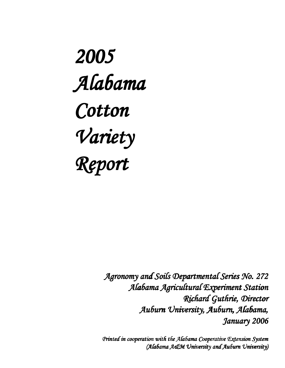2005 Alabama Cotton Variety Report

> Agronomy and Soils Departmental Series No. 272 Alabama Agricultural Experiment Station Richard Guthrie, Director Auburn University, Auburn, Alabama, January 2006 January

> Printed in cooperation with the Alabama Cooperative Extension System (Alabama A&M University and Auburn University)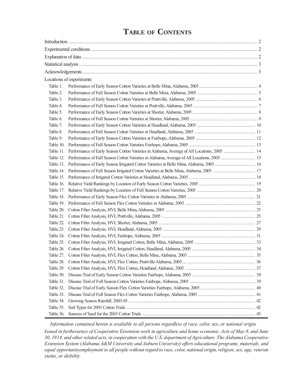|           | Locations of experiments                                                                    |  |
|-----------|---------------------------------------------------------------------------------------------|--|
| Table 1.  |                                                                                             |  |
| Table 2.  |                                                                                             |  |
| Table 3.  |                                                                                             |  |
| Table 4.  |                                                                                             |  |
| Table 5.  |                                                                                             |  |
| Table 6.  |                                                                                             |  |
| Table 7.  |                                                                                             |  |
| Table 8.  |                                                                                             |  |
| Table 9.  |                                                                                             |  |
| Table 10. |                                                                                             |  |
| Table 11. | Performance of Early Season Cotton Varieties in Alabama, Average of All Locations, 2005  14 |  |
| Table 12. |                                                                                             |  |
|           |                                                                                             |  |
|           |                                                                                             |  |
|           |                                                                                             |  |
|           |                                                                                             |  |
|           |                                                                                             |  |
|           |                                                                                             |  |
|           |                                                                                             |  |
| Table 20. |                                                                                             |  |
|           |                                                                                             |  |
|           |                                                                                             |  |
| Table 23. |                                                                                             |  |
|           |                                                                                             |  |
|           |                                                                                             |  |
| Table 26. |                                                                                             |  |
| Table 27. |                                                                                             |  |
| Table 28. |                                                                                             |  |
| Table 29. |                                                                                             |  |
| Table 30. |                                                                                             |  |
| Table 31. |                                                                                             |  |
| Table 32. |                                                                                             |  |
| Table 33. |                                                                                             |  |
| Table 34. |                                                                                             |  |
| Table 35. |                                                                                             |  |
| Table 36. |                                                                                             |  |

# **TABLE OF CONTENTS**

*Information contained herein is available to all persons regardless of race, color, sex, or national origin.*

*Issued in furtherarnce of Cooperative Extension work in agriculture and home economic, Acts of May 8, and June 30, 1914, and other related acts, in cooperation with the U.S. department of Agriculture. The Alabama Cooperative Extension System (Alabama A&M University and Auburn University) offers educational programs, materials, and equal opportunityemployment to all people without regard to race, color, national origin, religion, sex, age, veteran status, or disbility*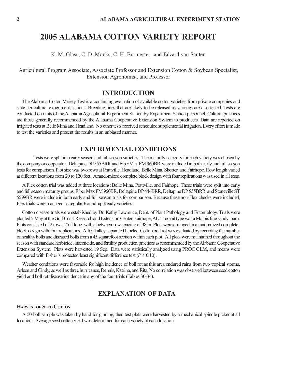K. M. Glass, C. D. Monks, C. H. Burmester, and Edzard van Santen

Agricultural Program Associate, Associate Professor and Extension Cotton & Soybean Specialist, Extension Agronomist, and Professor

# **INTRODUCTION**

The Alabama Cotton Variety Test is a continuing evaluation of available cotton varieties from private companies and state agricultural experiment stations. Breeding lines that are likely to be released as varieties are also tested. Tests are conducted on units of the Alabama Agricultural Experiment Station by Experiment Station personnel. Cultural practices are those generally recommended by the Alabama Cooperative Extension System to producers. Data are reported on irrigated tests at Belle Mina and Headland. No other tests received scheduled supplemental irrigation. Every effort is made to test the varieties and present the results in an unbiased manner.

### **EXPERIMENTAL CONDITIONS**

Tests were split into early season and full season varieties. The maturity category for each variety was chosen by the company or cooperator. Deltapine DP 555BRR and FiberMax FM 960BR were included in both early and full season tests for comparison. Plot size was two rows at Prattville, Headland, Belle Mina, Shorter, and Fairhope. Row length varied at different locations from 20 to 120 feet. A randomized complete block design with four replications was used in all tests.

A Flex cotton trial was added at three locations: Belle Mina, Prattville, and Fairhope. These trials were split into early and full season maturity groups. Fiber Max FM 960BR, Deltapine DP 444BRR, Deltapine DP 555BRR, and Stoneville ST 5599BR were include in both early and full season trials for comparison. Because these non-Flex checks were included, Flex trials were managed as regular Round-up Ready varieties.

Cotton disease trials were established by Dr. Kathy Lawrence, Dept. of Plant Pathology and Entomology. Trials were planted 5 May at the Gulf Coast Research and Extension Center, Fairhope, AL. The soil type was a Malbis fine sandy loam. Plots consisted of 2 rows, 25 ft long, with a between-row spacing of 38 in. Plots were arranged in a randomized completeblock design with four replications. A 10-ft alley separated blocks. Cotton boll rot was evaluated by recording the number of healthy bolls and diseased bolls from a 45 squarefoot section within each plot. All plots were maintained throughout the season with standard herbicide, insecticide, and fertility production practices as recommended by the Alabama Cooperative Extension System. Plots were harvested 19 Sep. Data were statistically analyzed using PROC GLM, and means were compared with Fisher's protected least significant difference test  $(P < 0.10)$ .

Weather conditions were favorable for high incidence of boll rot as this area endured rains from two tropical storms, Arleen and Cindy, as well as three hurricanes, Dennis, Katrina, and Rita. No correlation was observed between seed cotton yield and boll rot disease incidence in any of the four trials (Tables 30-34).

### **EXPLANATION OF DATA**

### **HARVEST OF SEED COTTON**

A 50-boll sample was taken by hand for ginning, then test plots were harvested by a mechanical spindle picker at all locations. Average seed cotton yield was determined for each variety at each location.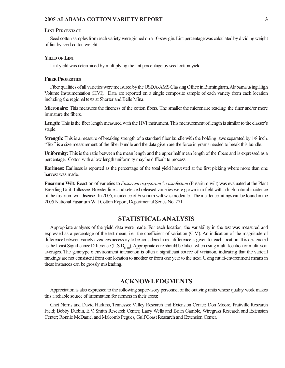#### **LINT PERCENTAGE**

Seed cotton samples from each variety were ginned on a 10-saw gin. Lint percentage was calculated by dividing weight of lint by seed cotton weight.

#### **YIELD OF LINT**

Lint yield was determined by multiplying the lint percentage by seed cotton yield.

### **FIBER PROPERTIES**

Fiber qualities of all varieties were measured by the USDA-AMS Classing Office in Birmingham, Alabama using High Volume Instrumentation (HVI). Data are reported on a single composite sample of each variety from each location including the regional tests at Shorter and Belle Mina.

**Micronaire:** This measures the fineness of the cotton fibers. The smaller the micronaire reading, the finer and/or more immature the fibers.

**Length:** This is the fiber length measured with the HVI instrument. This measurement of length is similar to the classer's staple.

**Strength:** This is a measure of breaking strength of a standard fiber bundle with the holding jaws separated by  $1/8$  inch. "Tex" is a size measurement of the fiber bundle and the data given are the force in grams needed to break this bundle.

**Uniformity:** This is the ratio between the mean length and the upper half mean length of the fibers and is expressed as a percentage. Cotton with a low length uniformity may be difficult to process.

**Earliness:** Earliness is reported as the percentage of the total yield harvested at the first picking where more than one harvest was made.

**Fusarium Wilt:** Reaction of varieties to *Fusarium oxysporum* f. *vasinfectum* (Fusarium wilt) was evaluated at the Plant Breeding Unit, Tallassee. Breeder lines and selected released varieties were grown in a field with a high natural incidence of the fusarium wilt disease. In 2005, incidence of Fusarium wilt was moderate. The incidence ratings can be found in the 2005 National Fusarium Wilt Cotton Report, Departmental Series No. 271.

### **STATISTICAL ANALYSIS**

Appropriate analyses of the yield data were made. For each location, the variability in the test was measured and expressed as a percentage of the test mean, i.e., the coefficient of variation (C.V.). An indication of the magnitude of difference between variety averages necessary to be considered a real difference is given for each location. It is designated as the Least Significance Difference  $(L.S.D_{0.10})$ . Appropriate care should be taken when using multi-location or multi-year averages. The genotype x environment interaction is often a significant source of variation, indicating that the varietal rankings are not consistent from one location to another or from one year to the next. Using multi-environment means in these instances can be grossly misleading.

### **ACKNOWLEDGMENTS**

Appreciation is also expressed to the following supervisory personnel of the outlying units whose quality work makes this a reliable source of information for farmers in their areas:

Chet Norris and David Harkins, Tennessee Valley Research and Extension Center; Don Moore, Prattville Research Field; Bobby Durbin, E.V. Smith Research Center; Larry Wells and Brian Gamble, Wiregrass Research and Extension Center; Ronnie McDaniel and Malcomb Pegues, Gulf Coast Research and Extension Center.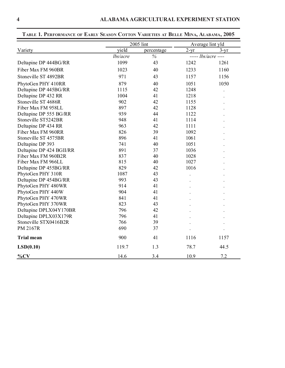|                          | 2005 lint |            |                            | Average lint yld |
|--------------------------|-----------|------------|----------------------------|------------------|
| Variety                  | yield     | percentage | $2-yr$                     | $3-yr$           |
|                          | lbs/acre  | $\%$       | ----- <i>lbs/acre</i> ---- |                  |
| Deltapine DP 444BG/RR    | 1099      | 43         | 1242                       | 1261             |
| Fiber Max FM 960BR       | 1023      | 40         | 1233                       | 1160             |
| Stoneville ST 4892BR     | 971       | 43         | 1157                       | 1156             |
| PhytoGen PHY 410RR       | 879       | 40         | 1051                       | 1050             |
| Deltapine DP 445BG/RR    | 1115      | 42         | 1248                       |                  |
| Deltapine DP 432 RR      | 1004      | 41         | 1218                       |                  |
| Stoneville ST 4686R      | 902       | 42         | 1155                       |                  |
| Fiber Max FM 958LL       | 897       | 42         | 1128                       |                  |
| Deltapine DP 555 BG/RR   | 939       | 44         | 1122                       |                  |
| Stoneville ST5242BR      | 948       | 41         | 1114                       |                  |
| Deltapine DP 434 RR      | 963       | 42         | 1111                       |                  |
| Fiber Max FM 960RR       | 826       | 39         | 1092                       |                  |
| Stoneville ST 4575BR     | 896       | 41         | 1061                       |                  |
| Deltapine DP 393         | 741       | 40         | 1051                       |                  |
| Deltapine DP 424 BGII/RR | 891       | 37         | 1036                       |                  |
| Fiber Max FM 960B2R      | 837       | 40         | 1028                       |                  |
| Fiber Max FM 966LL       | 815       | 40         | 1027                       |                  |
| Deltapine DP 455BG/RR    | 829       | 42         | 1016                       |                  |
| PhytoGen PHY 310R        | 1087      | 43         |                            |                  |
| Deltapine DP 454BG/RR    | 993       | 43         |                            |                  |
| PhytoGen PHY 480WR       | 914       | 41         |                            |                  |
| PhytoGen PHY 440W        | 904       | 41         |                            |                  |
| PhytoGen PHY 470WR       | 841       | 41         |                            |                  |
| PhytoGen PHY 370WR       | 823       | 43         |                            |                  |
| Deltapine DPLX04Y170BR   | 796       | 42         |                            |                  |
| Deltapine DPLX03X179R    | 796       | 41         |                            |                  |
| Stoneville STX0416B2R    | 766       | 39         |                            |                  |
| <b>PM 2167R</b>          | 690       | 37         |                            |                  |
| <b>Trial mean</b>        | 900       | 41         | 1116                       | 1157             |
| LSD(0.10)                | 119.7     | 1.3        | 78.7                       | 44.5             |
| $\%CV$                   | 14.6      | 3.4        | 10.9                       | 7.2              |

# **TABLE 1. PERFORMANCE OF EARLY SEASON COTTON VARIETIES AT BELLE MINA, ALABAMA, 2005**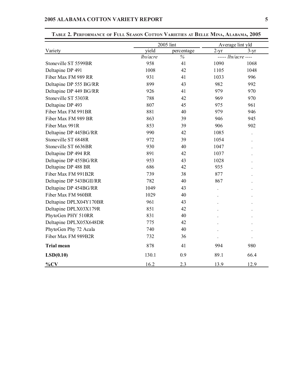|                         |          | 2005 lint     | Average lint yld |                            |
|-------------------------|----------|---------------|------------------|----------------------------|
| Variety                 | yield    | percentage    | $2-yr$           | $3-yr$                     |
|                         | lbs/acre | $\frac{6}{6}$ |                  | ----- <i>lbs/acre</i> ---- |
| Stoneville ST 5599BR    | 958      | 41            | 1090             | 1068                       |
| Deltapine DP 491        | 1008     | 42            | 1105             | 1048                       |
| Fiber Max FM 989 RR     | 931      | 41            | 1033             | 996                        |
| Deltapine DP 555 BG/RR  | 899      | 43            | 982              | 992                        |
| Deltapine DP 449 BG/RR  | 926      | 41            | 979              | 970                        |
| Stoneville ST 5303R     | 788      | 42            | 969              | 970                        |
| Deltapine DP 493        | 807      | 45            | 975              | 961                        |
| Fiber Max FM 991BR      | 881      | 40            | 979              | 946                        |
| Fiber Max FM 989 BR     | 863      | 39            | 946              | 945                        |
| Fiber Max 991R          | 853      | 39            | 906              | 902                        |
| Deltapine DP 445BG/RR   | 990      | 42            | 1085             |                            |
| Stoneville ST 6848R     | 972      | 39            | 1054             |                            |
| Stoneville ST 6636BR    | 930      | 40            | 1047             |                            |
| Deltapine DP 494 RR     | 891      | 42            | 1037             |                            |
| Deltapine DP 455BG/RR   | 953      | 43            | 1028             |                            |
| Deltapine DP 488 BR     | 686      | 42            | 935              |                            |
| Fiber Max FM 991B2R     | 739      | 38            | 877              |                            |
| Deltapine DP 543BGII/RR | 782      | 40            | 867              |                            |
| Deltapine DP 454BG/RR   | 1049     | 43            |                  |                            |
| Fiber Max FM 960BR      | 1029     | 40            |                  |                            |
| Deltapine DPLX04Y170BR  | 961      | 43            |                  |                            |
| Deltapine DPLX03X179R   | 851      | 42            |                  |                            |
| PhytoGen PHY 510RR      | 831      | 40            |                  |                            |
| Deltapine DPLX05X648DR  | 775      | 42            |                  |                            |
| PhytoGen Phy 72 Acala   | 740      | 40            |                  |                            |
| Fiber Max FM 989B2R     | 732      | 36            |                  |                            |
| <b>Trial mean</b>       | 878      | 41            | 994              | 980                        |
| LSD(0.10)               | 130.1    | 0.9           | 89.1             | 66.4                       |
| $\%CV$                  | 16.2     | 2.3           | 13.9             | 12.9                       |

### **TABLE 2. PERFORMANCE OF FULL SEASON COTTON VARIETIES AT BELLE MINA, ALABAMA, 2005**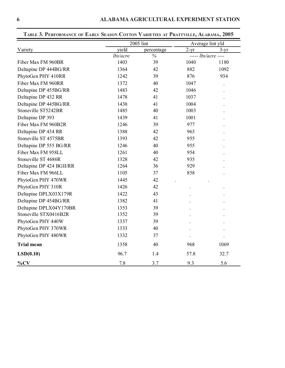|                          |          | 2005 lint  | Average lint yld |                            |
|--------------------------|----------|------------|------------------|----------------------------|
| Variety                  | yield    | percentage | $2-yr$           | $3-yr$                     |
|                          | lbs/acre | $\%$       |                  | ----- <i>lbs/acre</i> ---- |
| Fiber Max FM 960BR       | 1403     | 39         | 1040             | 1180                       |
| Deltapine DP 444BG/RR    | 1364     | 42         | 882              | 1092                       |
| PhytoGen PHY 410RR       | 1242     | 39         | 876              | 934                        |
| Fiber Max FM 960RR       | 1372     | 40         | 1047             |                            |
| Deltapine DP 455BG/RR    | 1483     | 42         | 1046             |                            |
| Deltapine DP 432 RR      | 1478     | 41         | 1037             |                            |
| Deltapine DP 445BG/RR    | 1438     | 41         | 1004             |                            |
| Stoneville ST5242BR      | 1485     | 40         | 1003             |                            |
| Deltapine DP 393         | 1439     | 41         | 1001             |                            |
| Fiber Max FM 960B2R      | 1246     | 39         | 977              |                            |
| Deltapine DP 434 RR      | 1388     | 42         | 963              |                            |
| Stoneville ST 4575BR     | 1393     | 42         | 955              |                            |
| Deltapine DP 555 BG/RR   | 1246     | 40         | 955              |                            |
| Fiber Max FM 958LL       | 1261     | 40         | 954              |                            |
| Stoneville ST 4686R      | 1328     | 42         | 935              |                            |
| Deltapine DP 424 BGII/RR | 1264     | 36         | 929              |                            |
| Fiber Max FM 966LL       | 1105     | 37         | 858              |                            |
| PhytoGen PHY 470WR       | 1445     | 42         |                  |                            |
| PhytoGen PHY 310R        | 1426     | 42         |                  |                            |
| Deltapine DPLX03X179R    | 1422     | 43         |                  |                            |
| Deltapine DP 454BG/RR    | 1382     | 41         |                  |                            |
| Deltapine DPLX04Y170BR   | 1353     | 39         |                  |                            |
| Stoneville STX0416B2R    | 1352     | 39         |                  |                            |
| PhytoGen PHY 440W        | 1337     | 39         |                  |                            |
| PhytoGen PHY 370WR       | 1333     | 40         |                  |                            |
| PhytoGen PHY 480WR       | 1332     | 37         |                  |                            |
| <b>Trial mean</b>        | 1358     | 40         | 968              | 1069                       |
| LSD(0.10)                | 96.7     | 1.4        | 57.8             | 32.7                       |
| $\%CV$                   | 7.8      | 3.7        | 9.3              | 5.6                        |

**TABLE 3. PERFORMANCE OF EARLY SEASON COTTON VARIETIES AT PRATTVILLE, ALABAMA, 2005**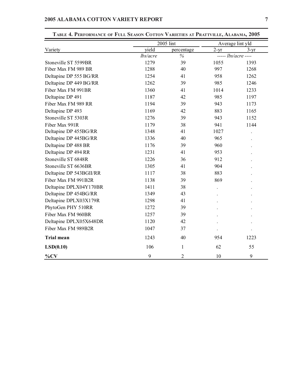|                         |          | 2005 lint     | Average lint yld |                     |
|-------------------------|----------|---------------|------------------|---------------------|
| Variety                 | yield    | percentage    | $2-yr$           | $3 - yr$            |
|                         | lbs/acre | $\frac{0}{0}$ |                  | $---$ lbs/acre ---- |
| Stoneville ST 5599BR    | 1279     | 39            | 1055             | 1393                |
| Fiber Max FM 989 BR     | 1288     | 40            | 997              | 1268                |
| Deltapine DP 555 BG/RR  | 1254     | 41            | 958              | 1262                |
| Deltapine DP 449 BG/RR  | 1262     | 39            | 985              | 1246                |
| Fiber Max FM 991BR      | 1360     | 41            | 1014             | 1233                |
| Deltapine DP 491        | 1187     | 42            | 985              | 1197                |
| Fiber Max FM 989 RR     | 1194     | 39            | 943              | 1173                |
| Deltapine DP 493        | 1169     | 42            | 883              | 1165                |
| Stoneville ST 5303R     | 1276     | 39            | 943              | 1152                |
| Fiber Max 991R          | 1179     | 38            | 941              | 1144                |
| Deltapine DP 455BG/RR   | 1348     | 41            | 1027             |                     |
| Deltapine DP 445BG/RR   | 1336     | 40            | 965              |                     |
| Deltapine DP 488 BR     | 1176     | 39            | 960              |                     |
| Deltapine DP 494 RR     | 1231     | 41            | 953              |                     |
| Stoneville ST 6848R     | 1226     | 36            | 912              |                     |
| Stoneville ST 6636BR    | 1305     | 41            | 904              |                     |
| Deltapine DP 543BGII/RR | 1117     | 38            | 883              |                     |
| Fiber Max FM 991B2R     | 1138     | 39            | 869              |                     |
| Deltapine DPLX04Y170BR  | 1411     | 38            |                  |                     |
| Deltapine DP 454BG/RR   | 1349     | 43            |                  |                     |
| Deltapine DPLX03X179R   | 1298     | 41            |                  |                     |
| PhytoGen PHY 510RR      | 1272     | 39            |                  |                     |
| Fiber Max FM 960BR      | 1257     | 39            |                  |                     |
| Deltapine DPLX05X648DR  | 1120     | 42            |                  |                     |
| Fiber Max FM 989B2R     | 1047     | 37            |                  |                     |
| <b>Trial mean</b>       | 1243     | 40            | 954              | 1223                |
| LSD(0.10)               | 106      | $\mathbf{1}$  | 62               | 55                  |
| $\%CV$                  | 9        | 2             | 10               | 9                   |

### **TABLE 4. PERFORMANCE OF FULL SEASON COTTON VARIETIES AT PRATTVILLE, ALABAMA, 2005**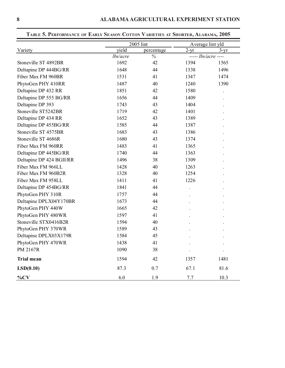|                          |          | 2005 lint  |        | Average lint yld    |
|--------------------------|----------|------------|--------|---------------------|
| Variety                  | yield    | percentage | $2-yr$ | $3-yr$              |
|                          | lbs/acre | $\%$       |        | $---$ lbs/acre ---- |
| Stoneville ST 4892BR     | 1692     | 42         | 1394   | 1565                |
| Deltapine DP 444BG/RR    | 1648     | 44         | 1338   | 1496                |
| Fiber Max FM 960BR       | 1531     | 41         | 1347   | 1474                |
| PhytoGen PHY 410RR       | 1487     | 40         | 1240   | 1390                |
| Deltapine DP 432 RR      | 1851     | 42         | 1580   |                     |
| Deltapine DP 555 BG/RR   | 1656     | 44         | 1409   |                     |
| Deltapine DP 393         | 1743     | 43         | 1404   |                     |
| Stoneville ST5242BR      | 1719     | 42         | 1401   |                     |
| Deltapine DP 434 RR      | 1652     | 43         | 1389   |                     |
| Deltapine DP 455BG/RR    | 1585     | 44         | 1387   |                     |
| Stoneville ST 4575BR     | 1683     | 43         | 1386   |                     |
| Stoneville ST 4686R      | 1680     | 43         | 1374   |                     |
| Fiber Max FM 960RR       | 1483     | 41         | 1365   |                     |
| Deltapine DP 445BG/RR    | 1740     | 44         | 1363   |                     |
| Deltapine DP 424 BGII/RR | 1496     | 38         | 1309   |                     |
| Fiber Max FM 966LL       | 1428     | 40         | 1263   |                     |
| Fiber Max FM 960B2R      | 1328     | 40         | 1254   |                     |
| Fiber Max FM 958LL       | 1411     | 41         | 1226   |                     |
| Deltapine DP 454BG/RR    | 1841     | 44         |        |                     |
| PhytoGen PHY 310R        | 1757     | 44         |        |                     |
| Deltapine DPLX04Y170BR   | 1673     | 44         |        |                     |
| PhytoGen PHY 440W        | 1665     | 42         |        |                     |
| PhytoGen PHY 480WR       | 1597     | 41         |        |                     |
| Stoneville STX0416B2R    | 1594     | 40         |        |                     |
| PhytoGen PHY 370WR       | 1589     | 43         |        |                     |
| Deltapine DPLX03X179R    | 1584     | 45         |        |                     |
| PhytoGen PHY 470WR       | 1438     | 41         |        |                     |
| PM 2167R                 | 1090     | 38         |        |                     |
| <b>Trial mean</b>        | 1594     | 42         | 1357   | 1481                |
| LSD(0.10)                | 87.3     | 0.7        | 67.1   | 81.6                |
| $\%CV$                   | 6.0      | 1.9        | 7.7    | 10.3                |

**TABLE 5. PERFORMANCE OF EARLY SEASON COTTON VARIETIES AT SHORTER, ALABAMA, 2005**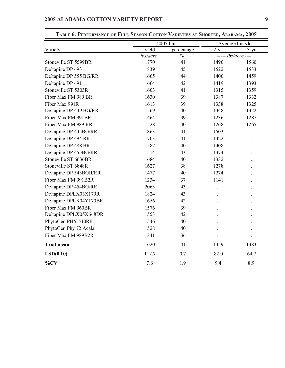|                         |          | 2005 lint  | Average lint yld |                     |
|-------------------------|----------|------------|------------------|---------------------|
| Variety                 | yield    | percentage | $2-yr$           | $3 - yr$            |
|                         | lbs/acre | $\%$       |                  | $---$ lbs/acre ---- |
| Stoneville ST 5599BR    | 1770     | 41         | 1490             | 1560                |
| Deltapine DP 493        | 1839     | 45         | 1522             | 1533                |
| Deltapine DP 555 BG/RR  | 1665     | 44         | 1400             | 1459                |
| Deltapine DP 491        | 1664     | 42         | 1419             | 1393                |
| Stoneville ST 5303R     | 1603     | 41         | 1315             | 1359                |
| Fiber Max FM 989 BR     | 1630     | 39         | 1387             | 1332                |
| Fiber Max 991R          | 1613     | 39         | 1338             | 1325                |
| Deltapine DP 449 BG/RR  | 1569     | 40         | 1348             | 1322                |
| Fiber Max FM 991BR      | 1464     | 39         | 1236             | 1287                |
| Fiber Max FM 989 RR     | 1528     | 40         | 1268             | 1265                |
| Deltapine DP 445BG/RR   | 1863     | 41         | 1503             |                     |
| Deltapine DP 494 RR     | 1703     | 41         | 1422             |                     |
| Deltapine DP 488 BR     | 1587     | 40         | 1408             |                     |
| Deltapine DP 455BG/RR   | 1514     | 43         | 1374             |                     |
| Stoneville ST 6636BR    | 1684     | 40         | 1332             |                     |
| Stoneville ST 6848R     | 1627     | 38         | 1278             |                     |
| Deltapine DP 543BGII/RR | 1477     | 40         | 1274             |                     |
| Fiber Max FM 991B2R     | 1234     | 37         | 1141             |                     |
| Deltapine DP 454BG/RR   | 2063     | 43         |                  |                     |
| Deltapine DPLX03X179R   | 1824     | 43         |                  |                     |
| Deltapine DPLX04Y170BR  | 1656     | 42         |                  |                     |
| Fiber Max FM 960BR      | 1576     | 39         |                  |                     |
| Deltapine DPLX05X648DR  | 1553     | 42         |                  |                     |
| PhytoGen PHY 510RR      | 1546     | 40         |                  |                     |
| PhytoGen Phy 72 Acala   | 1528     | 40         |                  |                     |
| Fiber Max FM 989B2R     | 1341     | 36         |                  |                     |
| <b>Trial mean</b>       | 1620     | 41         | 1359             | 1383                |
| LSD(0.10)               | 112.7    | 0.7        | 82.0             | 64.7                |
| $\frac{9}{6}CV$         | 7.6      | 1.9        | 9.4              | 8.9                 |

## **TABLE 6. PERFORMANCE OF FULL SEASON COTTON VARIETIES AT SHORTER, ALABAMA, 2005**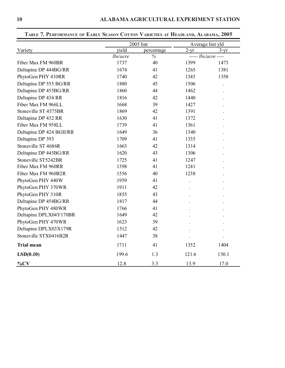|                          |          | 2005 lint     | Average lint yld |                          |
|--------------------------|----------|---------------|------------------|--------------------------|
| Variety                  | yield    | percentage    | $2-yr$           | $3 - yr$                 |
|                          | lbs/acre | $\frac{6}{6}$ |                  | $-$ ---- $lbs/acre$ ---- |
| Fiber Max FM 960BR       | 1737     | 40            | 1399             | 1473                     |
| Deltapine DP 444BG/RR    | 1674     | 41            | 1265             | 1381                     |
| PhytoGen PHY 410RR       | 1740     | 42            | 1345             | 1358                     |
| Deltapine DP 555 BG/RR   | 1880     | 45            | 1506             |                          |
| Deltapine DP 455BG/RR    | 1860     | 44            | 1462             |                          |
| Deltapine DP 434 RR      | 1816     | 42            | 1440             |                          |
| Fiber Max FM 966LL       | 1668     | 39            | 1427             |                          |
| Stoneville ST 4575BR     | 1869     | 42            | 1391             |                          |
| Deltapine DP 432 RR      | 1630     | 41            | 1372             |                          |
| Fiber Max FM 958LL       | 1739     | 41            | 1361             |                          |
| Deltapine DP 424 BGII/RR | 1649     | 36            | 1340             |                          |
| Deltapine DP 393         | 1709     | 41            | 1335             |                          |
| Stoneville ST 4686R      | 1663     | 42            | 1314             |                          |
| Deltapine DP 445BG/RR    | 1620     | 43            | 1306             |                          |
| Stoneville ST5242BR      | 1725     | 41            | 1247             |                          |
| Fiber Max FM 960RR       | 1398     | 41            | 1241             |                          |
| Fiber Max FM 960B2R      | 1556     | 40            | 1238             |                          |
| PhytoGen PHY 440W        | 1959     | 41            |                  |                          |
| PhytoGen PHY 370WR       | 1911     | 42            |                  |                          |
| PhytoGen PHY 310R        | 1855     | 43            |                  |                          |
| Deltapine DP 454BG/RR    | 1817     | 44            |                  |                          |
| PhytoGen PHY 480WR       | 1766     | 41            |                  |                          |
| Deltapine DPLX04Y170BR   | 1649     | 42            |                  |                          |
| PhytoGen PHY 470WR       | 1623     | 39            |                  |                          |
| Deltapine DPLX03X179R    | 1512     | 42            |                  |                          |
| Stoneville STX0416B2R    | 1447     | 38            |                  |                          |
| <b>Trial mean</b>        | 1711     | 41            | 1352             | 1404                     |
| LSD(0.10)                | 199.6    | 1.3           | 121.6            | 130.1                    |
| $\%CV$                   | 12.8     | 3.3           | 13.9             | 17.0                     |

**TABLE 7. PERFORMANCE OF EARLY SEASON COTTON VARIETIES AT HEADLAND, ALABAMA, 2005**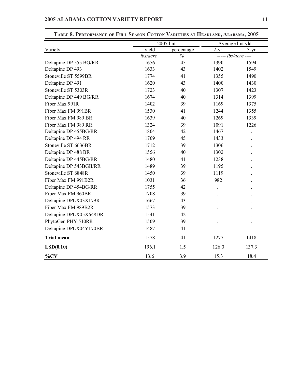|                         |          | 2005 lint  | Average lint yld |                     |
|-------------------------|----------|------------|------------------|---------------------|
| Variety                 | yield    | percentage | $2-yr$           | $3 - yr$            |
|                         | lbs/acre | $\%$       |                  | $---$ lbs/acre ---- |
| Deltapine DP 555 BG/RR  | 1656     | 45         | 1390             | 1594                |
| Deltapine DP 493        | 1633     | 43         | 1402             | 1549                |
| Stoneville ST 5599BR    | 1774     | 41         | 1355             | 1490                |
| Deltapine DP 491        | 1620     | 43         | 1400             | 1430                |
| Stoneville ST 5303R     | 1723     | 40         | 1307             | 1423                |
| Deltapine DP 449 BG/RR  | 1674     | 40         | 1314             | 1399                |
| Fiber Max 991R          | 1402     | 39         | 1169             | 1375                |
| Fiber Max FM 991BR      | 1530     | 41         | 1244             | 1355                |
| Fiber Max FM 989 BR     | 1639     | 40         | 1269             | 1339                |
| Fiber Max FM 989 RR     | 1324     | 39         | 1091             | 1226                |
| Deltapine DP 455BG/RR   | 1804     | 42         | 1467             |                     |
| Deltapine DP 494 RR     | 1709     | 45         | 1433             |                     |
| Stoneville ST 6636BR    | 1712     | 39         | 1306             |                     |
| Deltapine DP 488 BR     | 1556     | 40         | 1302             |                     |
| Deltapine DP 445BG/RR   | 1480     | 41         | 1238             |                     |
| Deltapine DP 543BGII/RR | 1489     | 39         | 1195             |                     |
| Stoneville ST 6848R     | 1450     | 39         | 1119             |                     |
| Fiber Max FM 991B2R     | 1031     | 36         | 982              |                     |
| Deltapine DP 454BG/RR   | 1755     | 42         |                  |                     |
| Fiber Max FM 960BR      | 1708     | 39         |                  |                     |
| Deltapine DPLX03X179R   | 1667     | 43         |                  |                     |
| Fiber Max FM 989B2R     | 1573     | 39         |                  |                     |
| Deltapine DPLX05X648DR  | 1541     | 42         |                  |                     |
| PhytoGen PHY 510RR      | 1509     | 39         |                  |                     |
| Deltapine DPLX04Y170BR  | 1487     | 41         |                  |                     |
| <b>Trial mean</b>       | 1578     | 41         | 1277             | 1418                |
| LSD(0.10)               | 196.1    | 1.5        | 126.0            | 137.3               |
| $\%CV$                  | 13.6     | 3.9        | 15.3             | 18.4                |

### **TABLE 8. PERFORMANCE OF FULL SEASON COTTON VARIETIES AT HEADLAND, ALABAMA, 2005**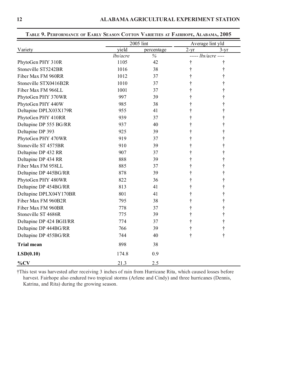|                          |          | 2005 lint  | Average lint yld |                            |
|--------------------------|----------|------------|------------------|----------------------------|
| Variety                  | yield    | percentage | $2-yr$           | $3 - yr$                   |
|                          | lbs/acre | $\%$       |                  | ----- <i>lbs/acre</i> ---- |
| PhytoGen PHY 310R        | 1105     | 42         | t                | t                          |
| Stoneville ST5242BR      | 1016     | 38         |                  |                            |
| Fiber Max FM 960RR       | 1012     | 37         |                  |                            |
| Stoneville STX0416B2R    | 1010     | 37         |                  |                            |
| Fiber Max FM 966LL       | 1001     | 37         |                  |                            |
| PhytoGen PHY 370WR       | 997      | 39         |                  |                            |
| PhytoGen PHY 440W        | 985      | 38         |                  |                            |
| Deltapine DPLX03X179R    | 955      | 41         |                  |                            |
| PhytoGen PHY 410RR       | 939      | 37         |                  |                            |
| Deltapine DP 555 BG/RR   | 937      | 40         |                  |                            |
| Deltapine DP 393         | 925      | 39         |                  |                            |
| PhytoGen PHY 470WR       | 919      | 37         |                  |                            |
| Stoneville ST 4575BR     | 910      | 39         |                  |                            |
| Deltapine DP 432 RR      | 907      | 37         |                  |                            |
| Deltapine DP 434 RR      | 888      | 39         |                  |                            |
| Fiber Max FM 958LL       | 885      | 37         |                  |                            |
| Deltapine DP 445BG/RR    | 878      | 39         |                  |                            |
| PhytoGen PHY 480WR       | 822      | 36         |                  |                            |
| Deltapine DP 454BG/RR    | 813      | 41         |                  |                            |
| Deltapine DPLX04Y170BR   | 801      | 41         |                  |                            |
| Fiber Max FM 960B2R      | 795      | 38         |                  |                            |
| Fiber Max FM 960BR       | 778      | 37         |                  |                            |
| Stoneville ST 4686R      | 775      | 39         | t                |                            |
| Deltapine DP 424 BGII/RR | 774      | 37         | t                |                            |
| Deltapine DP 444BG/RR    | 766      | 39         | t                | $\dagger$                  |
| Deltapine DP 455BG/RR    | 744      | 40         | t                | t                          |
| <b>Trial mean</b>        | 898      | 38         |                  |                            |
| LSD(0.10)                | 174.8    | 0.9        |                  |                            |
| $\%CV$                   | 21.3     | 2.5        |                  |                            |

**TABLE 9. PERFORMANCE OF EARLY SEASON COTTON VARIETIES AT FAIRHOPE, ALABAMA, 2005**

†This test was harvested after receiving 3 inches of rain from Hurricane Rita, which caused losses before harvest. Fairhope also endured two tropical storms (Arlene and Cindy) and three hurricanes (Dennis, Katrina, and Rita) during the growing season.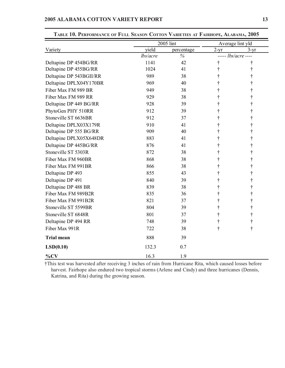|                         | 2005 lint |            |                            | Average lint yld |
|-------------------------|-----------|------------|----------------------------|------------------|
| Variety                 | yield     | percentage | $2 - yr$                   | $3 - yr$         |
|                         | lbs/acre  | $\%$       | $---$ <i>lbs/acre</i> ---- |                  |
| Deltapine DP 454BG/RR   | 1141      | 42         | t                          |                  |
| Deltapine DP 455BG/RR   | 1024      | 41         |                            |                  |
| Deltapine DP 543BGII/RR | 989       | 38         |                            |                  |
| Deltapine DPLX04Y170BR  | 969       | 40         | t                          |                  |
| Fiber Max FM 989 BR     | 949       | 38         |                            |                  |
| Fiber Max FM 989 RR     | 929       | 38         |                            |                  |
| Deltapine DP 449 BG/RR  | 928       | 39         |                            |                  |
| PhytoGen PHY 510RR      | 912       | 39         |                            |                  |
| Stoneville ST 6636BR    | 912       | 37         |                            |                  |
| Deltapine DPLX03X179R   | 910       | 41         |                            |                  |
| Deltapine DP 555 BG/RR  | 909       | 40         |                            |                  |
| Deltapine DPLX05X648DR  | 883       | 41         |                            |                  |
| Deltapine DP 445BG/RR   | 876       | 41         |                            |                  |
| Stoneville ST 5303R     | 872       | 38         |                            |                  |
| Fiber Max FM 960BR      | 868       | 38         |                            |                  |
| Fiber Max FM 991BR      | 866       | 38         |                            |                  |
| Deltapine DP 493        | 855       | 43         |                            |                  |
| Deltapine DP 491        | 840       | 39         | t                          |                  |
| Deltapine DP 488 BR     | 839       | 38         |                            |                  |
| Fiber Max FM 989B2R     | 835       | 36         |                            |                  |
| Fiber Max FM 991B2R     | 821       | 37         |                            |                  |
| Stoneville ST 5599BR    | 804       | 39         |                            |                  |
| Stoneville ST 6848R     | 801       | 37         |                            |                  |
| Deltapine DP 494 RR     | 748       | 39         | $\dagger$                  |                  |
| Fiber Max 991R          | 722       | 38         | $\dagger$                  | $\ddagger$       |
| <b>Trial mean</b>       | 888       | 39         |                            |                  |
| LSD(0.10)               | 132.3     | 0.7        |                            |                  |
| $\%CV$                  | 16.3      | 1.9        |                            |                  |

**TABLE 10. PERFORMANCE OF FULL SEASON COTTON VARIETIES AT FAIRHOPE, ALABAMA, 2005**

†This test was harvested after receiving 3 inches of rain from Hurricane Rita, which caused losses before harvest. Fairhope also endured two tropical storms (Arlene and Cindy) and three hurricanes (Dennis, Katrina, and Rita) during the growing season.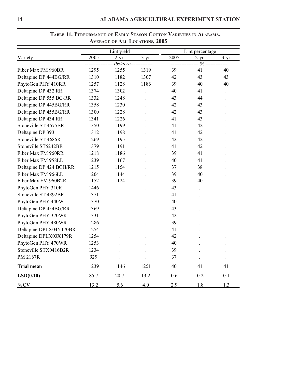| Lint yield               |      |                      | Lint percentage       |               |              |        |
|--------------------------|------|----------------------|-----------------------|---------------|--------------|--------|
| Variety                  | 2005 | $2-yr$               | $3 - yr$              | 2005          | $2-yr$       | $3-yr$ |
|                          |      |                      | lbs/acre------------- | ------------- | - % -------- |        |
| Fiber Max FM 960BR       | 1295 | 1255                 | 1319                  | 39            | 41           | 40     |
| Deltapine DP 444BG/RR    | 1310 | 1182                 | 1307                  | 42            | 43           | 43     |
| PhytoGen PHY 410RR       | 1257 | 1128                 | 1186                  | 39            | 40           | 40     |
| Deltapine DP 432 RR      | 1374 | 1302                 |                       | 40            | 41           |        |
| Deltapine DP 555 BG/RR   | 1332 | 1248                 |                       | 43            | 44           |        |
| Deltapine DP 445BG/RR    | 1358 | 1230                 |                       | 42            | 43           |        |
| Deltapine DP 455BG/RR    | 1300 | 1228                 |                       | 42            | 43           |        |
| Deltapine DP 434 RR      | 1341 | 1226                 |                       | 41            | 43           |        |
| Stoneville ST 4575BR     | 1350 | 1199                 |                       | 41            | 42           |        |
| Deltapine DP 393         | 1312 | 1198                 |                       | 41            | 42           |        |
| Stoneville ST 4686R      | 1269 | 1195                 |                       | 42            | 42           |        |
| Stoneville ST5242BR      | 1379 | 1191                 |                       | 41            | 42           |        |
| Fiber Max FM 960RR       | 1218 | 1186                 |                       | 39            | 41           |        |
| Fiber Max FM 958LL       | 1239 | 1167                 |                       | 40            | 41           |        |
| Deltapine DP 424 BGII/RR | 1215 | 1154                 |                       | 37            | 38           |        |
| Fiber Max FM 966LL       | 1204 | 1144                 |                       | 39            | 40           |        |
| Fiber Max FM 960B2R      | 1152 | 1124                 |                       | 39            | 40           |        |
| PhytoGen PHY 310R        | 1446 |                      |                       | 43            |              |        |
| Stoneville ST 4892BR     | 1371 |                      |                       | 41            |              |        |
| PhytoGen PHY 440W        | 1370 |                      |                       | 40            |              |        |
| Deltapine DP 454BG/RR    | 1369 |                      |                       | 43            |              |        |
| PhytoGen PHY 370WR       | 1331 |                      |                       | 42            |              |        |
| PhytoGen PHY 480WR       | 1286 |                      |                       | 39            |              |        |
| Deltapine DPLX04Y170BR   | 1254 |                      |                       | 41            |              |        |
| Deltapine DPLX03X179R    | 1254 |                      |                       | 42            |              |        |
| PhytoGen PHY 470WR       | 1253 |                      |                       | 40            |              |        |
| Stoneville STX0416B2R    | 1234 |                      |                       | 39            |              |        |
| PM 2167R                 | 929  | $\ddot{\phantom{a}}$ |                       | 37            |              |        |
| <b>Trial mean</b>        | 1239 | 1146                 | 1251                  | 40            | 41           | 41     |
| LSD(0.10)                | 85.7 | 20.7                 | 13.2                  | 0.6           | 0.2          | 0.1    |
| $\%CV$                   | 13.2 | 5.6                  | 4.0                   | 2.9           | 1.8          | 1.3    |

### **TABLE 11. PERFORMANCE OF EARLY SEASON COTTON VARIETIES IN ALABAMA, AVERAGE OF ALL LOCATIONS, 2005**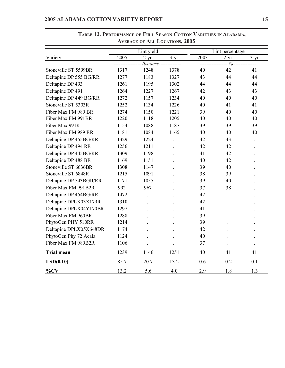|                         |      |               | <b>AVERAGE OF ALL LOCATIONS, 2005</b> |      |                 |        |
|-------------------------|------|---------------|---------------------------------------|------|-----------------|--------|
|                         |      | Lint yield    |                                       |      | Lint percentage |        |
| Variety                 | 2005 | $2-yr$        | $3-yr$                                | 2003 | $2-yr$          | $3-yr$ |
|                         |      | $lbs/acre---$ |                                       |      | - % --------    |        |
| Stoneville ST 5599BR    | 1317 | 1248          | 1378                                  | 40   | 42              | 41     |
| Deltapine DP 555 BG/RR  | 1277 | 1183          | 1327                                  | 43   | 44              | 44     |
| Deltapine DP 493        | 1261 | 1195          | 1302                                  | 44   | 44              | 44     |
| Deltapine DP 491        | 1264 | 1227          | 1267                                  | 42   | 43              | 43     |
| Deltapine DP 449 BG/RR  | 1272 | 1157          | 1234                                  | 40   | 40              | 40     |
| Stoneville ST 5303R     | 1252 | 1134          | 1226                                  | 40   | 41              | 41     |
| Fiber Max FM 989 BR     | 1274 | 1150          | 1221                                  | 39   | 40              | 40     |
| Fiber Max FM 991BR      | 1220 | 1118          | 1205                                  | 40   | 40              | 40     |
| Fiber Max 991R          | 1154 | 1088          | 1187                                  | 39   | 39              | 39     |
| Fiber Max FM 989 RR     | 1181 | 1084          | 1165                                  | 40   | 40              | 40     |
| Deltapine DP 455BG/RR   | 1329 | 1224          |                                       | 42   | 43              |        |
| Deltapine DP 494 RR     | 1256 | 1211          |                                       | 42   | 42              |        |
| Deltapine DP 445BG/RR   | 1309 | 1198          |                                       | 41   | 42              |        |
| Deltapine DP 488 BR     | 1169 | 1151          |                                       | 40   | 42              |        |
| Stoneville ST 6636BR    | 1308 | 1147          |                                       | 39   | 40              |        |
| Stoneville ST 6848R     | 1215 | 1091          |                                       | 38   | 39              |        |
| Deltapine DP 543BGII/RR | 1171 | 1055          |                                       | 39   | 40              |        |
| Fiber Max FM 991B2R     | 992  | 967           |                                       | 37   | 38              |        |
| Deltapine DP 454BG/RR   | 1472 |               |                                       | 42   |                 |        |
| Deltapine DPLX03X179R   | 1310 |               |                                       | 42   |                 |        |
| Deltapine DPLX04Y170BR  | 1297 |               |                                       | 41   |                 |        |
| Fiber Max FM 960BR      | 1288 |               |                                       | 39   |                 |        |
| PhytoGen PHY 510RR      | 1214 |               |                                       | 39   |                 |        |
| Deltapine DPLX05X648DR  | 1174 |               |                                       | 42   |                 |        |
| PhytoGen Phy 72 Acala   | 1124 |               |                                       | 40   |                 |        |
| Fiber Max FM 989B2R     | 1106 |               |                                       | 37   |                 |        |
| <b>Trial mean</b>       | 1239 | 1146          | 1251                                  | 40   | 41              | 41     |
| LSD(0.10)               | 85.7 | 20.7          | 13.2                                  | 0.6  | 0.2             | 0.1    |
| $\%CV$                  | 13.2 | 5.6           | 4.0                                   | 2.9  | 1.8             | 1.3    |

# **TABLE 12. PERFORMANCE OF FULL SEASON COTTON VARIETIES IN ALABAMA,**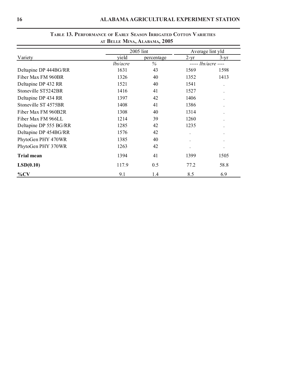|                        | $\overline{AB}$ December Formula $\overline{AB}$ |            |        |                      |
|------------------------|--------------------------------------------------|------------|--------|----------------------|
|                        |                                                  | 2005 lint  |        | Average lint yld     |
| Variety                | yield                                            | percentage | $2-yr$ | $3-yr$               |
|                        | lbs/acre                                         | $\%$       |        | $---$ lbs/acre ----  |
| Deltapine DP 444BG/RR  | 1631                                             | 43         | 1569   | 1598                 |
| Fiber Max FM 960BR     | 1326                                             | 40         | 1352   | 1413                 |
| Deltapine DP 432 RR    | 1521                                             | 40         | 1541   |                      |
| Stoneville ST5242BR    | 1416                                             | 41         | 1527   |                      |
| Deltapine DP 434 RR    | 1397                                             | 42         | 1406   |                      |
| Stoneville ST 4575BR   | 1408                                             | 41         | 1386   |                      |
| Fiber Max FM 960B2R    | 1308                                             | 40         | 1314   |                      |
| Fiber Max FM 966LL     | 1214                                             | 39         | 1260   |                      |
| Deltapine DP 555 BG/RR | 1285                                             | 42         | 1235   |                      |
| Deltapine DP 454BG/RR  | 1576                                             | 42         |        | $\ddot{\phantom{0}}$ |
| PhytoGen PHY 470WR     | 1385                                             | 40         |        | ٠                    |
| PhytoGen PHY 370WR     | 1263                                             | 42         |        | ٠                    |
| <b>Trial mean</b>      | 1394                                             | 41         | 1399   | 1505                 |
| LSD(0.10)              | 117.9                                            | 0.5        | 77.2   | 58.8                 |
| $\%CV$                 | 9.1                                              | 1.4        | 8.5    | 6.9                  |

### **TABLE 13. PERFORMANCE OF EARLY SEASON IRRIGATED COTTON VARIETIES AT BELLE MINA, ALABAMA, 2005**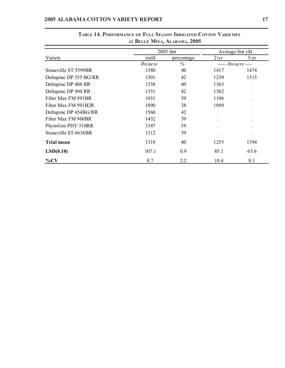|                        | AT BELLE MINA, ALABAMA, 2005 |            |                  |                            |  |
|------------------------|------------------------------|------------|------------------|----------------------------|--|
|                        |                              | 2005 lint  | Average lint yld |                            |  |
| Variety                | vield                        | percentage | $2-yr$           | $3-yr$                     |  |
|                        | lbs/acre                     | $\%$       |                  | ----- <i>lbs/acre</i> ---- |  |
| Stoneville ST 5599BR   | 1380                         | 40         | 1417             | 1474                       |  |
| Deltapine DP 555 BG/RR | 1301                         | 42         | 1239             | 1315                       |  |
| Deltapine DP 488 BR    | 1358                         | 40         | 1365             | $\ddot{\phantom{0}}$       |  |
| Deltapine DP 494 RR    | 1351                         | 42         | 1302             | ٠                          |  |
| Fiber Max FM 991BR     | 1051                         | 39         | 1106             | $\ddot{\phantom{0}}$       |  |
| Fiber Max FM 991B2R    | 1090                         | 38         | 1099             | $\ddot{\phantom{0}}$       |  |
| Deltapine DP 454BG/RR  | 1560                         | 42         |                  | $\bullet$                  |  |
| Fiber Max FM 960BR     | 1432                         | 39         |                  | ٠                          |  |
| PhytoGen PHY 510RR     | 1347                         | 39         |                  | $\bullet$                  |  |
| Stoneville ST 6636BR   | 1312                         | 39         |                  |                            |  |
| <b>Trial mean</b>      | 1318                         | 40         | 1255             | 1394                       |  |
| LSD(0.10)              | 107.1                        | 0.9        | 85.1             | 63.6                       |  |
| $\%CV$                 | 8.7                          | 2.2        | 10.4             | 8.1                        |  |

# **TABLE 14. PERFORMANCE OF FULL SEASON IRRIGATED COTTON VARIETIES**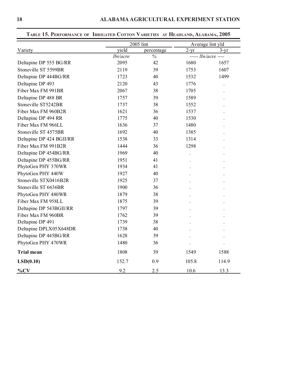|                          |          | 2005 lint  |        | Average lint yld    |
|--------------------------|----------|------------|--------|---------------------|
| Variety                  | yield    | percentage | $2-yr$ | $3-yr$              |
|                          | lbs/acre | $\%$       |        | $---$ lbs/acre ---- |
| Deltapine DP 555 BG/RR   | 2095     | 42         | 1680   | 1657                |
| Stoneville ST 5599BR     | 2119     | 39         | 1753   | 1607                |
| Deltapine DP 444BG/RR    | 1723     | 40         | 1532   | 1499                |
| Deltapine DP 493         | 2120     | 43         | 1776   |                     |
| Fiber Max FM 991BR       | 2067     | 38         | 1705   |                     |
| Deltapine DP 488 BR      | 1757     | 39         | 1589   |                     |
| Stoneville ST5242BR      | 1737     | 38         | 1552   |                     |
| Fiber Max FM 960B2R      | 1621     | 36         | 1537   |                     |
| Deltapine DP 494 RR      | 1775     | 40         | 1530   |                     |
| Fiber Max FM 966LL       | 1636     | 37         | 1480   |                     |
| Stoneville ST 4575BR     | 1692     | 40         | 1385   |                     |
| Deltapine DP 424 BGII/RR | 1538     | 33         | 1314   |                     |
| Fiber Max FM 991B2R      | 1444     | 36         | 1298   |                     |
| Deltapine DP 454BG/RR    | 1969     | 40         |        |                     |
| Deltapine DP 455BG/RR    | 1951     | 41         |        |                     |
| PhytoGen PHY 370WR       | 1934     | 41         |        |                     |
| PhytoGen PHY 440W        | 1927     | 40         |        |                     |
| Stoneville STX0416B2R    | 1925     | 37         |        |                     |
| Stoneville ST 6636BR     | 1900     | 36         |        |                     |
| PhytoGen PHY 480WR       | 1879     | 38         |        |                     |
| Fiber Max FM 958LL       | 1875     | 39         |        |                     |
| Deltapine DP 543BGII/RR  | 1797     | 39         |        |                     |
| Fiber Max FM 960BR       | 1762     | 39         |        |                     |
| Deltapine DP 491         | 1739     | 38         |        |                     |
| Deltapine DPLX05X648DR   | 1738     | 40         |        |                     |
| Deltapine DP 445BG/RR    | 1628     | 39         |        |                     |
| PhytoGen PHY 470WR       | 1480     | 36         |        |                     |
| <b>Trial mean</b>        | 1808     | 39         | 1549   | 1588                |
| LSD(0.10)                | 152.7    | 0.9        | 105.8  | 114.9               |
| $\%CV$                   | 9.2      | 2.5        | 10.6   | 13.3                |

**TABLE 15. PERFORMANCE OF IRRIGATED COTTON VARIETIES AT HEADLAND, ALABAMA, 2005**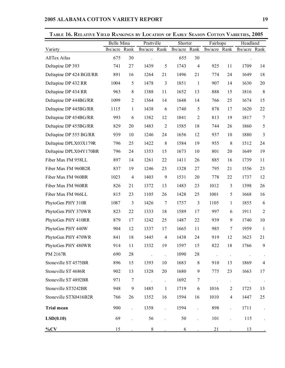| TABLE TO, INELATIVE TIELD INAINMUS BY LOCATION OF EAKLY SEASON COTTON VAKIETIES, 2003 | Belle Mina |                  | Prattville           |                      | Shorter  |                  | Fairhope             |                      | Headland      |                |
|---------------------------------------------------------------------------------------|------------|------------------|----------------------|----------------------|----------|------------------|----------------------|----------------------|---------------|----------------|
| Variety                                                                               | lbs/acre   | Rank             | lbs/acre Rank        |                      | lbs/acre | Rank             | lbs/acre Rank        |                      | lbs/acre Rank |                |
| <b>AllTex Atlas</b>                                                                   | 675        | 30               | $\ddot{\phantom{0}}$ |                      | 655      | 30               |                      |                      |               |                |
| Deltapine DP 393                                                                      | 741        | 27               | 1439                 | 5                    | 1743     | $\overline{4}$   | 925                  | 11                   | 1709          | 14             |
| Deltapine DP 424 BGII/RR                                                              | 891        | 16               | 1264                 | 21                   | 1496     | 21               | 774                  | 24                   | 1649          | 18             |
| Deltapine DP 432 RR                                                                   | 1004       | 5                | 1478                 | 3                    | 1851     | $\mathbf{1}$     | 907                  | 14                   | 1630          | 20             |
| Deltapine DP 434 RR                                                                   | 963        | $8\,$            | 1388                 | 11                   | 1652     | 13               | 888                  | 15                   | 1816          | $8\,$          |
| Deltapine DP 444BG/RR                                                                 | 1099       | $\overline{2}$   | 1364                 | 14                   | 1648     | 14               | 766                  | 25                   | 1674          | 15             |
| Deltapine DP 445BG/RR                                                                 | 1115       | $\mathbf{1}$     | 1438                 | 6                    | 1740     | 5                | 878                  | 17                   | 1620          | 22             |
| Deltapine DP 454BG/RR                                                                 | 993        | 6                | 1382                 | 12                   | 1841     | $\overline{2}$   | 813                  | 19                   | 1817          | 7              |
| Deltapine DP 455BG/RR                                                                 | 829        | 20               | 1483                 | $\overline{2}$       | 1585     | 18               | 744                  | 26                   | 1860          | 5              |
| Deltapine DP 555 BG/RR                                                                | 939        | 10               | 1246                 | 24                   | 1656     | 12               | 937                  | 10                   | 1880          | 3              |
| Deltapine DPLX03X179R                                                                 | 796        | 25               | 1422                 | $8\,$                | 1584     | 19               | 955                  | $\,8\,$              | 1512          | 24             |
| Deltapine DPLX04Y170BR                                                                | 796        | 24               | 1353                 | 15                   | 1673     | 10               | 801                  | $20\,$               | 1649          | 19             |
| Fiber Max FM 958LL                                                                    | 897        | 14               | 1261                 | 22                   | 1411     | 26               | 885                  | 16                   | 1739          | 11             |
| Fiber Max FM 960B2R                                                                   | 837        | 19               | 1246                 | 23                   | 1328     | 27               | 795                  | 21                   | 1556          | 23             |
| Fiber Max FM 960BR                                                                    | 1023       | $\overline{4}$   | 1403                 | $\boldsymbol{9}$     | 1531     | 20               | 778                  | 22                   | 1737          | 12             |
| Fiber Max FM 960RR                                                                    | 826        | 21               | 1372                 | 13                   | 1483     | 23               | 1012                 | $\mathfrak{Z}$       | 1398          | 26             |
| Fiber Max FM 966LL                                                                    | 815        | 23               | 1105                 | 26                   | 1428     | 25               | 1001                 | 5                    | 1668          | 16             |
| PhytoGen PHY 310R                                                                     | 1087       | 3                | 1426                 | $\tau$               | 1757     | 3                | 1105                 | $\mathbf{1}$         | 1855          | 6              |
| PhytoGen PHY 370WR                                                                    | 823        | 22               | 1333                 | 18                   | 1589     | 17               | 997                  | 6                    | 1911          | $\overline{2}$ |
| PhytoGen PHY 410RR                                                                    | 879        | 17               | 1242                 | 25                   | 1487     | 22               | 939                  | 9                    | 1740          | 10             |
| PhytoGen PHY 440W                                                                     | 904        | 12               | 1337                 | 17                   | 1665     | 11               | 985                  | 7                    | 1959          | 1              |
| PhytoGen PHY 470WR                                                                    | 841        | 18               | 1445                 | $\overline{4}$       | 1438     | 24               | 919                  | 12                   | 1623          | 21             |
| PhytoGen PHY 480WR                                                                    | 914        | 11               | 1332                 | 19                   | 1597     | 15               | 822                  | 18                   | 1766          | 9              |
| PM 2167R                                                                              | 690        | 28               | $\ddot{\phantom{a}}$ | $\ddot{\phantom{0}}$ | 1090     | 28               | $\ddot{\phantom{a}}$ | $\Box$               |               |                |
| Stoneville ST 4575BR                                                                  | 896        | 15               | 1393                 | 10                   | 1683     | $8\,$            | 910                  | 13                   | 1869          | $\overline{4}$ |
| Stoneville ST 4686R                                                                   | 902        | 13               | 1328                 | 20                   | 1680     | $\boldsymbol{9}$ | 775                  | 23                   | 1663          | 17             |
| Stoneville ST 4892BR                                                                  | 971        | $\tau$           | $\ddot{\phantom{a}}$ | $\ddot{\phantom{a}}$ | 1692     | $\tau$           | $\ddot{\phantom{0}}$ | $\ddot{\phantom{0}}$ |               |                |
| Stoneville ST5242BR                                                                   | 948        | $\boldsymbol{9}$ | 1485                 | $\mathbf{1}$         | 1719     | 6                | 1016                 | $\overline{c}$       | 1725          | 13             |
| Stoneville STX0416B2R                                                                 | 766        | 26               | 1352                 | 16                   | 1594     | 16               | 1010                 | $\overline{4}$       | 1447          | 25             |
| <b>Trial mean</b>                                                                     | 900        |                  | 1358                 | $\ddot{\phantom{0}}$ | 1594     |                  | 898                  |                      | 1711          |                |
| LSD(0.10)                                                                             | 69         |                  | 56                   | $\ddot{\phantom{a}}$ | 50       |                  | 101                  |                      | 115           |                |
| $\%CV$                                                                                | 15         |                  | $\,8\,$              |                      | 6        |                  | 21                   |                      | 13            |                |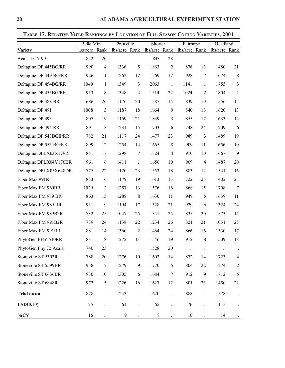|                         | Belle Mina |                  | Prattville           |                      | Shorter  |                | Fairhope      |                  | Headland      |                          |
|-------------------------|------------|------------------|----------------------|----------------------|----------|----------------|---------------|------------------|---------------|--------------------------|
| Variety                 | lbs/acre   | Rank             | lbs/acre             | Rank                 | lbs/acre | Rank           | lbs/acre Rank |                  | lbs/acre Rank |                          |
| Acala 1517-99           | 822        | 20               | $\ddot{\phantom{0}}$ |                      | 843      | 28             |               |                  | $\bullet$     |                          |
| Deltapine DP 445BG/RR   | 990        | $\overline{4}$   | 1336                 | 5                    | 1863     | $\overline{2}$ | 876           | 13               | 1480          | 21                       |
| Deltapine DP 449 BG/RR  | 926        | 11               | 1262                 | 12                   | 1569     | 17             | 928           | $\tau$           | 1674          | $\,8\,$                  |
| Deltapine DP 454BG/RR   | 1049       | 1                | 1349                 | 3                    | 2063     | $\mathbf{1}$   | 1141          | $\mathbf{1}$     | 1755          | 3                        |
| Deltapine DP 455BG/RR   | 953        | 8                | 1348                 | $\overline{4}$       | 1514     | 22             | 1024          | $\overline{2}$   | 1804          | $\mathbf{1}$             |
| Deltapine DP 488 BR     | 686        | 26               | 1176                 | 20                   | 1587     | 15             | 839           | 19               | 1556          | 15                       |
| Deltapine DP 491        | 1008       | $\mathfrak{Z}$   | 1187                 | 18                   | 1664     | 9              | 840           | 18               | 1620          | 13                       |
| Deltapine DP 493        | 807        | 19               | 1169                 | 21                   | 1839     | 3              | 855           | 17               | 1633          | 12                       |
| Deltapine DP 494 RR     | 891        | 13               | 1231                 | 15                   | 1703     | 6              | 748           | 24               | 1709          | 6                        |
| Deltapine DP 543BGII/RR | 782        | 21               | 1117                 | 24                   | 1477     | 23             | 989           | 3                | 1489          | 19                       |
| Deltapine DP 555 BG/RR  | 899        | 12               | 1254                 | 14                   | 1665     | 8              | 909           | 11               | 1656          | 10                       |
| Deltapine DPLX03X179R   | 851        | 17               | 1298                 | $\tau$               | 1824     | $\overline{4}$ | 910           | 10               | 1667          | 9                        |
| Deltapine DPLX04Y170BR  | 961        | 6                | 1411                 | $\mathbf{1}$         | 1656     | 10             | 969           | 4                | 1487          | 20                       |
| Deltapine DPLX05X648DR  | 775        | 22               | 1120                 | 23                   | 1553     | 18             | 883           | 12               | 1541          | 16                       |
| Fiber Max 991R          | 853        | 16               | 1179                 | 19                   | 1613     | 13             | 722           | 25               | 1402          | 23                       |
| Fiber Max FM 960BR      | 1029       | $\overline{2}$   | 1257                 | 13                   | 1576     | 16             | 868           | 15               | 1708          | $7\phantom{.0}$          |
| Fiber Max FM 989 BR     | 863        | 15               | 1288                 | 8                    | 1630     | 11             | 949           | 5                | 1639          | 11                       |
| Fiber Max FM 989 RR     | 931        | 9                | 1194                 | 17                   | 1528     | 21             | 929           | 6                | 1324          | 24                       |
| Fiber Max FM 989B2R     | 732        | 25               | 1047                 | 25                   | 1341     | 25             | 835           | 20               | 1573          | 14                       |
| Fiber Max FM 991B2R     | 739        | 24               | 1138                 | 22                   | 1234     | 26             | 821           | 21               | 1031          | 25                       |
| Fiber Max FM 991BR      | 881        | 14               | 1360                 | $\overline{2}$       | 1464     | 24             | 866           | 16               | 1530          | 17                       |
| PhytoGen PHY 510RR      | 831        | 18               | 1272                 | 11                   | 1546     | 19             | 912           | 8                | 1509          | 18                       |
| PhytoGen Phy 72 Acala   | 740        | 23               |                      |                      | 1528     | 20             |               |                  |               |                          |
| Stoneville ST 5303R     | 788        | 20               | 1276                 | 10                   | 1603     | 14             | 872           | 14               | 1723          | $\overline{\mathcal{A}}$ |
| Stoneville ST 5599BR    | 958        | $\boldsymbol{7}$ | 1279                 | 9                    | 1770     | 5              | 804           | 22               | 1774          | $\overline{c}$           |
| Stoneville ST 6636BR    | 930        | 10               | 1305                 | 6                    | 1684     | 7              | 912           | $\boldsymbol{9}$ | 1712          | 5                        |
| Stoneville ST 6848R     | 972        | $\mathfrak s$    | 1226                 | 16                   | 1627     | 12             | 801           | 23               | 1450          | 22                       |
| <b>Trial mean</b>       | 878        |                  | 1243                 | $\ddot{\phantom{0}}$ | 1620     |                | 888           |                  | 1578          |                          |
| LSD(0.10)               | 75         |                  | 61                   |                      | 65       |                | 76            |                  | 113           |                          |
| $\%CV$                  | 16         |                  | $\boldsymbol{9}$     |                      | $8\,$    |                | 16            |                  | 14            |                          |

**TABLE 17. RELATIVE YIELD RANKINGS BY LOCATION OF FULL SEASON COTTON VARIETIES, 2004**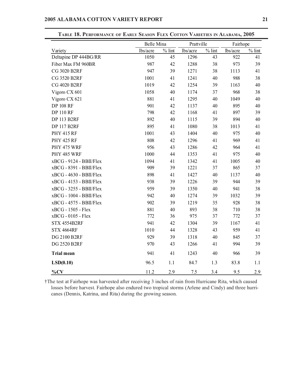|                         | <b>Belle Mina</b> |           | Prattville |          | Fairhope |           |
|-------------------------|-------------------|-----------|------------|----------|----------|-----------|
| Variety                 | lbs/acre          | $\%$ lint | lbs/acre   | $%$ lint | lbs/acre | $\%$ lint |
| Deltapine DP 444BG/RR   | 1050              | 45        | 1296       | 43       | 922      | 41        |
| Fiber Max FM 960BR      | 987               | 42        | 1288       | 38       | 973      | 39        |
| <b>CG 3020 B2RF</b>     | 947               | 39        | 1271       | 38       | 1113     | 41        |
| <b>CG 3520 B2RF</b>     | 1001              | 41        | 1241       | 40       | 988      | 38        |
| <b>CG 4020 B2RF</b>     | 1019              | 42        | 1254       | 39       | 1163     | 40        |
| Vigoro CX 601           | 1058              | 40        | 1174       | 37       | 968      | 38        |
| Vigoro CX 621           | 881               | 41        | 1295       | 40       | 1049     | 40        |
| <b>DP 108 RF</b>        | 901               | 42        | 1137       | 40       | 895      | 40        |
| <b>DP 110 RF</b>        | 798               | 42        | 1168       | 41       | 897      | 39        |
| <b>DP 113 B2RF</b>      | 892               | 40        | 1115       | 39       | 894      | 40        |
| <b>DP 117 B2RF</b>      | 895               | 41        | 1080       | 38       | 1013     | 41        |
| <b>PHY 415 RF</b>       | 1001              | 43        | 1404       | 40       | 975      | 40        |
| <b>PHY 425 RF</b>       | 808               | 42        | 1296       | 41       | 969      | 41        |
| PHY 475 WRF             | 956               | 43        | 1286       | 42       | 964      | 41        |
| PHY 485 WRF             | 1000              | 44        | 1353       | 41       | 975      | 40        |
| xBCG - 9124 - BBII/Flex | 1094              | 41        | 1342       | 41       | 1005     | 40        |
| xBCG - 8391 - BBII/Flex | 909               | 39        | 1221       | 37       | 865      | 37        |
| xBCG - 4630 - BBII/Flex | 898               | 41        | 1427       | 40       | 1137     | 40        |
| xBCG - 4153 - BBII/Flex | 938               | 39        | 1226       | 39       | 944      | 39        |
| xBCG - 3255 - BBII/Flex | 959               | 39        | 1350       | 40       | 941      | 38        |
| xBCG - 1004 - BBII/Flex | 942               | 40        | 1274       | 39       | 1032     | 39        |
| xBCG - 4575 - BBII/Flex | 902               | 39        | 1219       | 35       | 928      | 38        |
| xBCG - 1505 - Flex      | 881               | 40        | 893        | 38       | 710      | 38        |
| xBCG - 0105 - Flex      | 772               | 36        | 975        | 37       | 772      | 37        |
| STX 4554B2RF            | 941               | 42        | 1304       | 39       | 1167     | 41        |
| <b>STX 4664RF</b>       | 1010              | 44        | 1328       | 43       | 959      | 41        |
| <b>DG 2100 B2RF</b>     | 929               | 39        | 1318       | 40       | 845      | 37        |
| <b>DG 2520 B2RF</b>     | 970               | 43        | 1266       | 41       | 994      | 39        |
| <b>Trial mean</b>       | 941               | 41        | 1243       | 40       | 966      | 39        |
| LSD(0.10)               | 96.5              | 1.1       | 84.7       | 1.3      | 83.8     | 1.1       |
| $\%CV$                  | 11.2              | 2.9       | 7.5        | 3.4      | 9.5      | 2.9       |

**TABLE 18. PERFORMANCE OF EARLY SEASON FLEX COTTON VARIETIES IN ALABAMA, 2005**

†The test at Fairhope was harvested after receiving 3 inches of rain from Hurricane Rita, which caused losses before harvest. Fairhope also endured two tropical storms (Arlene and Cindy) and three hurricanes (Dennis, Katrina, and Rita) during the growing season.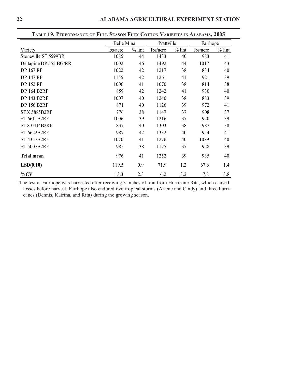|                        |          | Belle Mina |          | Prattville | Fairhope |          |
|------------------------|----------|------------|----------|------------|----------|----------|
| Variety                | lbs/acre | $%$ lint   | lbs/acre | $%$ lint   | lbs/acre | $%$ lint |
| Stoneville ST 5599BR   | 1085     | 44         | 1433     | 40         | 983      | 41       |
| Deltapine DP 555 BG/RR | 1002     | 46         | 1492     | 44         | 1017     | 43       |
| <b>DP 167 RF</b>       | 1022     | 42         | 1217     | 38         | 834      | 40       |
| <b>DP 147 RF</b>       | 1155     | 42         | 1261     | 41         | 921      | 39       |
| <b>DP 152 RF</b>       | 1006     | 41         | 1070     | 38         | 814      | 38       |
| <b>DP 164 B2RF</b>     | 859      | 42         | 1242     | 41         | 930      | 40       |
| <b>DP 143 B2RF</b>     | 1007     | 40         | 1240     | 38         | 883      | 39       |
| <b>DP 156 B2RF</b>     | 871      | 40         | 1126     | 39         | 972      | 41       |
| STX 5885B2RF           | 776      | 38         | 1147     | 37         | 908      | 37       |
| ST 6611B2RF            | 1006     | 39         | 1216     | 37         | 920      | 39       |
| <b>STX 0414B2RF</b>    | 837      | 40         | 1303     | 38         | 987      | 38       |
| <b>ST 6622B2RF</b>     | 987      | 42         | 1332     | 40         | 954      | 41       |
| <b>ST 4357B2RF</b>     | 1070     | 41         | 1276     | 40         | 1039     | 40       |
| <b>ST 5007B2RF</b>     | 985      | 38         | 1175     | 37         | 928      | 39       |
| <b>Trial mean</b>      | 976      | 41         | 1252     | 39         | 935      | 40       |
| LSD(0.10)              | 119.5    | 0.9        | 71.9     | 1.2        | 67.6     | 1.4      |
| $\%CV$                 | 13.3     | 2.3        | 6.2      | 3.2        | 7.8      | 3.8      |

†The test at Fairhope was harvested after receiving 3 inches of rain from Hurricane Rita, which caused losses before harvest. Fairhope also endured two tropical storms (Arlene and Cindy) and three hurricanes (Dennis, Katrina, and Rita) during the growing season.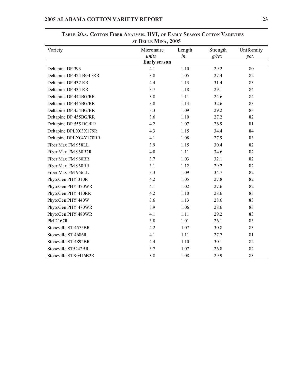| Variety                  | Micronaire          | Length | Strength | Uniformity |
|--------------------------|---------------------|--------|----------|------------|
|                          | units               | in.    | $g$ /tex | pct.       |
|                          | <b>Early season</b> |        |          |            |
| Deltapine DP 393         | 4.1                 | 1.10   | 29.2     | 80         |
| Deltapine DP 424 BGII/RR | 3.8                 | 1.05   | 27.4     | 82         |
| Deltapine DP 432 RR      | 4.4                 | 1.13   | 31.4     | 83         |
| Deltapine DP 434 RR      | 3.7                 | 1.18   | 29.1     | 84         |
| Deltapine DP 444BG/RR    | 3.8                 | 1.11   | 24.6     | 84         |
| Deltapine DP 445BG/RR    | 3.8                 | 1.14   | 32.6     | 83         |
| Deltapine DP 454BG/RR    | 3.3                 | 1.09   | 29.2     | 83         |
| Deltapine DP 455BG/RR    | 3.6                 | 1.10   | 27.2     | 82         |
| Deltapine DP 555 BG/RR   | 4.2                 | 1.07   | 26.9     | 81         |
| Deltapine DPLX03X179R    | 4.3                 | 1.15   | 34.4     | 84         |
| Deltapine DPLX04Y170BR   | 4.1                 | 1.08   | 27.9     | 83         |
| Fiber Max FM 958LL       | 3.9                 | 1.15   | 30.4     | 82         |
| Fiber Max FM 960B2R      | 4.0                 | 1.11   | 34.6     | 82         |
| Fiber Max FM 960BR       | 3.7                 | 1.03   | 32.1     | 82         |
| Fiber Max FM 960RR       | 3.1                 | 1.12   | 29.2     | 82         |
| Fiber Max FM 966LL       | 3.3                 | 1.09   | 34.7     | 82         |
| PhytoGen PHY 310R        | 4.2                 | 1.05   | 27.8     | 82         |
| PhytoGen PHY 370WR       | 4.1                 | 1.02   | 27.6     | 82         |
| PhytoGen PHY 410RR       | 4.2                 | 1.10   | 28.6     | 83         |
| PhytoGen PHY 440W        | 3.6                 | 1.13   | 28.6     | 83         |
| PhytoGen PHY 470WR       | 3.9                 | 1.06   | 28.6     | 83         |
| PhytoGen PHY 480WR       | 4.1                 | 1.11   | 29.2     | 83         |
| PM 2167R                 | 3.8                 | 1.01   | 26.1     | 83         |
| Stoneville ST 4575BR     | 4.2                 | 1.07   | 30.8     | 83         |
| Stoneville ST 4686R      | 4.1                 | 1.11   | 27.7     | 81         |
| Stoneville ST 4892BR     | 4.4                 | 1.10   | 30.1     | 82         |
| Stoneville ST5242BR      | 3.7                 | 1.07   | 26.8     | 82         |
| Stoneville STX0416B2R    | 3.8                 | 1.08   | 29.9     | 83         |

**TABLE 20.A. COTTON FIBER ANALYSIS, HVI, OF EARLY SEASON COTTON VARIETIES AT BELLE MINA, 2005**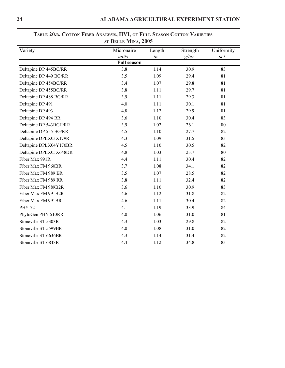| Variety                 | Micronaire         | Length | Strength | Uniformity |
|-------------------------|--------------------|--------|----------|------------|
|                         | units              | in.    | $g$ /tex | pct.       |
|                         | <b>Full season</b> |        |          |            |
| Deltapine DP 445BG/RR   | 3.8                | 1.14   | 30.9     | 83         |
| Deltapine DP 449 BG/RR  | 3.5                | 1.09   | 29.4     | 81         |
| Deltapine DP 454BG/RR   | 3.4                | 1.07   | 29.8     | 81         |
| Deltapine DP 455BG/RR   | 3.8                | 1.11   | 29.7     | 81         |
| Deltapine DP 488 BG/RR  | 3.9                | 1.11   | 29.3     | 81         |
| Deltapine DP 491        | 4.0                | 1.11   | 30.1     | 81         |
| Deltapine DP 493        | 4.8                | 1.12   | 29.9     | 81         |
| Deltapine DP 494 RR     | 3.6                | 1.10   | 30.4     | 83         |
| Deltapine DP 543BGII/RR | 3.9                | 1.02   | 26.1     | 80         |
| Deltapine DP 555 BG/RR  | 4.5                | 1.10   | 27.7     | 82         |
| Deltapine DPLX03X179R   | 4.3                | 1.09   | 31.5     | 83         |
| Deltapine DPLX04Y170BR  | 4.5                | 1.10   | 30.5     | 82         |
| Deltapine DPLX05X648DR  | 4.8                | 1.03   | 23.7     | 80         |
| Fiber Max 991R          | 4.4                | 1.11   | 30.4     | 82         |
| Fiber Max FM 960BR      | 3.7                | 1.08   | 34.1     | 82         |
| Fiber Max FM 989 BR     | 3.5                | 1.07   | 28.5     | 82         |
| Fiber Max FM 989 RR     | 3.8                | 1.11   | 32.4     | 82         |
| Fiber Max FM 989B2R     | 3.6                | 1.10   | 30.9     | 83         |
| Fiber Max FM 991B2R     | 4.6                | 1.12   | 31.8     | 82         |
| Fiber Max FM 991BR      | 4.6                | 1.11   | 30.4     | 82         |
| <b>PHY 72</b>           | 4.1                | 1.19   | 33.9     | 84         |
| PhytoGen PHY 510RR      | 4.0                | 1.06   | 31.0     | 81         |
| Stoneville ST 5303R     | 4.3                | 1.03   | 29.8     | 82         |
| Stoneville ST 5599BR    | 4.0                | 1.08   | 31.0     | 82         |
| Stoneville ST 6636BR    | 4.3                | 1.14   | 31.4     | 82         |
| Stoneville ST 6848R     | 4.4                | 1.12   | 34.8     | 83         |

### **TABLE 20.B. COTTON FIBER ANALYSIS, HVI, OF FULL SEASON COTTON VARIETIES AT BELLE MINA, 2005**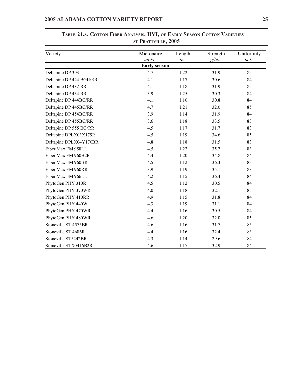| Variety                  | Micronaire          | Length | Strength | Uniformity |
|--------------------------|---------------------|--------|----------|------------|
|                          | units               | in.    | $g$ /tex | pct.       |
|                          | <b>Early season</b> |        |          |            |
| Deltapine DP 393         | 4.7                 | 1.22   | 31.9     | 85         |
| Deltapine DP 424 BGII/RR | 4.1                 | 1.17   | 30.6     | 84         |
| Deltapine DP 432 RR      | 4.1                 | 1.18   | 31.9     | 85         |
| Deltapine DP 434 RR      | 3.9                 | 1.25   | 30.3     | 84         |
| Deltapine DP 444BG/RR    | 4.1                 | 1.16   | 30.8     | 84         |
| Deltapine DP 445BG/RR    | 4.7                 | 1.21   | 32.0     | 85         |
| Deltapine DP 454BG/RR    | 3.9                 | 1.14   | 31.9     | 84         |
| Deltapine DP 455BG/RR    | 3.6                 | 1.18   | 33.5     | 83         |
| Deltapine DP 555 BG/RR   | 4.5                 | 1.17   | 31.7     | 83         |
| Deltapine DPLX03X179R    | 4.5                 | 1.19   | 34.6     | 85         |
| Deltapine DPLX04Y170BR   | 4.8                 | 1.18   | 31.5     | 83         |
| Fiber Max FM 958LL       | 4.5                 | 1.22   | 35.2     | 83         |
| Fiber Max FM 960B2R      | 4.4                 | 1.20   | 34.8     | 84         |
| Fiber Max FM 960BR       | 4.5                 | 1.12   | 36.3     | 83         |
| Fiber Max FM 960RR       | 3.9                 | 1.19   | 35.1     | 83         |
| Fiber Max FM 966LL       | 4.2                 | 1.15   | 36.4     | 84         |
| PhytoGen PHY 310R        | 4.5                 | 1.12   | 30.5     | 84         |
| PhytoGen PHY 370WR       | 4.0                 | 1.18   | 32.1     | 85         |
| PhytoGen PHY 410RR       | 4.9                 | 1.15   | 31.8     | 84         |
| PhytoGen PHY 440W        | 4.3                 | 1.19   | 31.1     | 84         |
| PhytoGen PHY 470WR       | 4.4                 | 1.16   | 30.5     | 84         |
| PhytoGen PHY 480WR       | 4.6                 | 1.20   | 32.0     | 85         |
| Stoneville ST 4575BR     | 4.6                 | 1.16   | 31.7     | 85         |
| Stoneville ST 4686R      | 4.4                 | 1.16   | 32.4     | 83         |
| Stoneville ST5242BR      | 4.3                 | 1.14   | 29.6     | 84         |
| Stoneville STX0416B2R    | 4.6                 | 1.17   | 32.9     | 84         |

# **TABLE 21.A. COTTON FIBER ANALYSIS, HVI, OF EARLY SEASON COTTON VARIETIES AT PRATTVILLE, 2005**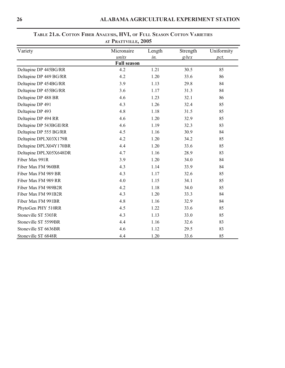| Variety                 | Micronaire         | Length | Strength | Uniformity |
|-------------------------|--------------------|--------|----------|------------|
|                         | units              | in.    | $g$ /tex | pct.       |
|                         | <b>Full season</b> |        |          |            |
| Deltapine DP 445BG/RR   | 4.2                | 1.21   | 30.5     | 85         |
| Deltapine DP 449 BG/RR  | 4.2                | 1.20   | 33.6     | 86         |
| Deltapine DP 454BG/RR   | 3.9                | 1.13   | 29.8     | 84         |
| Deltapine DP 455BG/RR   | 3.6                | 1.17   | 31.3     | 84         |
| Deltapine DP 488 BR     | 4.6                | 1.23   | 32.1     | 86         |
| Deltapine DP 491        | 4.3                | 1.26   | 32.4     | 85         |
| Deltapine DP 493        | 4.8                | 1.18   | 31.5     | 85         |
| Deltapine DP 494 RR     | 4.6                | 1.20   | 32.9     | 85         |
| Deltapine DP 543BGII/RR | 4.6                | 1.19   | 32.3     | 83         |
| Deltapine DP 555 BG/RR  | 4.5                | 1.16   | 30.9     | 84         |
| Deltapine DPLX03X179R   | 4.2                | 1.20   | 34.2     | 85         |
| Deltapine DPLX04Y170BR  | 4.4                | 1.20   | 33.6     | 85         |
| Deltapine DPLX05X648DR  | 4.7                | 1.16   | 28.9     | 83         |
| Fiber Max 991R          | 3.9                | 1.20   | 34.0     | 84         |
| Fiber Max FM 960BR      | 4.3                | 1.14   | 33.9     | 84         |
| Fiber Max FM 989 BR     | 4.3                | 1.17   | 32.6     | 85         |
| Fiber Max FM 989 RR     | 4.0                | 1.15   | 34.1     | 85         |
| Fiber Max FM 989B2R     | 4.2                | 1.18   | 34.0     | 85         |
| Fiber Max FM 991B2R     | 4.3                | 1.20   | 33.3     | 84         |
| Fiber Max FM 991BR      | 4.8                | 1.16   | 32.9     | 84         |
| PhytoGen PHY 510RR      | 4.5                | 1.22   | 33.6     | 85         |
| Stoneville ST 5303R     | 4.3                | 1.13   | 33.0     | 85         |
| Stoneville ST 5599BR    | 4.4                | 1.16   | 32.6     | 83         |
| Stoneville ST 6636BR    | 4.6                | 1.12   | 29.5     | 83         |
| Stoneville ST 6848R     | 4.4                | 1.20   | 33.6     | 85         |

# **TABLE 21.B. COTTON FIBER ANALYSIS, HVI, OF FULL SEASON COTTON VARIETIES AT PRATTVILLE, 2005**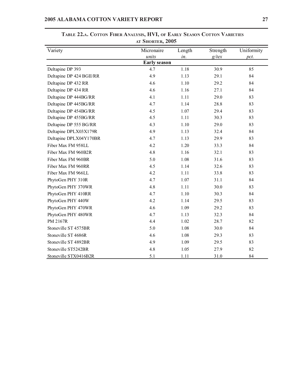| Variety                  | Micronaire          | Length | Strength | Uniformity |
|--------------------------|---------------------|--------|----------|------------|
|                          | units               | in.    | $g$ /tex | pct.       |
|                          | <b>Early season</b> |        |          |            |
| Deltapine DP 393         | 4.7                 | 1.18   | 30.9     | 85         |
| Deltapine DP 424 BGII/RR | 4.9                 | 1.13   | 29.1     | 84         |
| Deltapine DP 432 RR      | 4.6                 | 1.10   | 29.2     | 84         |
| Deltapine DP 434 RR      | 4.6                 | 1.16   | 27.1     | 84         |
| Deltapine DP 444BG/RR    | 4.1                 | 1.11   | 29.0     | 83         |
| Deltapine DP 445BG/RR    | 4.7                 | 1.14   | 28.8     | 83         |
| Deltapine DP 454BG/RR    | 4.5                 | 1.07   | 29.4     | 83         |
| Deltapine DP 455BG/RR    | 4.5                 | 1.11   | 30.3     | 83         |
| Deltapine DP 555 BG/RR   | 4.3                 | 1.10   | 29.0     | 83         |
| Deltapine DPLX03X179R    | 4.9                 | 1.13   | 32.4     | 84         |
| Deltapine DPLX04Y170BR   | 4.7                 | 1.13   | 29.9     | 83         |
| Fiber Max FM 958LL       | 4.2                 | 1.20   | 33.3     | 84         |
| Fiber Max FM 960B2R      | 4.8                 | 1.16   | 32.1     | 83         |
| Fiber Max FM 960BR       | 5.0                 | 1.08   | 31.6     | 83         |
| Fiber Max FM 960RR       | 4.5                 | 1.14   | 32.6     | 83         |
| Fiber Max FM 966LL       | 4.2                 | 1.11   | 33.8     | 83         |
| PhytoGen PHY 310R        | 4.7                 | 1.07   | 31.1     | 84         |
| PhytoGen PHY 370WR       | 4.8                 | 1.11   | 30.0     | 83         |
| PhytoGen PHY 410RR       | 4.7                 | 1.10   | 30.3     | 84         |
| PhytoGen PHY 440W        | 4.2                 | 1.14   | 29.5     | 83         |
| PhytoGen PHY 470WR       | 4.6                 | 1.09   | 29.2     | 83         |
| PhytoGen PHY 480WR       | 4.7                 | 1.13   | 32.3     | 84         |
| <b>PM 2167R</b>          | 4.4                 | 1.02   | 28.7     | 82         |
| Stoneville ST 4575BR     | 5.0                 | 1.08   | 30.0     | 84         |
| Stoneville ST 4686R      | 4.6                 | 1.08   | 29.3     | 83         |
| Stoneville ST 4892BR     | 4.9                 | 1.09   | 29.5     | 83         |
| Stoneville ST5242BR      | 4.8                 | 1.05   | 27.9     | 82         |
| Stoneville STX0416B2R    | 5.1                 | 1.11   | 31.0     | 84         |

**TABLE 22.A. COTTON FIBER ANALYSIS, HVI, OF EARLY SEASON COTTON VARIETIES AT SHORTER, 2005**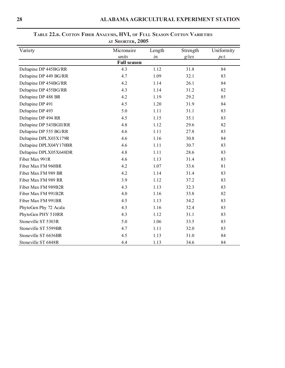| Variety                 | Micronaire         | Length | Strength | Uniformity |  |
|-------------------------|--------------------|--------|----------|------------|--|
|                         | units<br>in.       |        | $g$ /tex | pct.       |  |
|                         | <b>Full season</b> |        |          |            |  |
| Deltapine DP 445BG/RR   | 4.3                | 1.12   | 31.8     | 84         |  |
| Deltapine DP 449 BG/RR  | 4.7                | 1.09   | 32.1     | 83         |  |
| Deltapine DP 454BG/RR   | 4.2                | 1.14   | 26.1     | 84         |  |
| Deltapine DP 455BG/RR   | 4.3                | 1.14   | 31.2     | 82         |  |
| Deltapine DP 488 BR     | 4.2                | 1.19   | 29.2     | 85         |  |
| Deltapine DP 491        | 4.5                | 1.20   | 31.9     | 84         |  |
| Deltapine DP 493        | 5.0                | 1.11   | 31.1     | 83         |  |
| Deltapine DP 494 RR     | 4.5                | 1.15   | 35.1     | 83         |  |
| Deltapine DP 543BGII/RR | 4.8                | 1.12   | 29.6     | 82         |  |
| Deltapine DP 555 BG/RR  | 4.6                | 1.11   | 27.8     | 83         |  |
| Deltapine DPLX03X179R   | 4.6                | 1.16   | 30.8     | 84         |  |
| Deltapine DPLX04Y170BR  | 4.6                | 1.11   | 30.7     | 83         |  |
| Deltapine DPLX05X648DR  | 4.8                | 1.11   | 28.6     | 83         |  |
| Fiber Max 991R          | 4.6                | 1.13   | 31.4     | 83         |  |
| Fiber Max FM 960BR      | 4.2                | 1.07   | 33.6     | 81         |  |
| Fiber Max FM 989 BR     | 4.2                | 1.14   | 31.4     | 83         |  |
| Fiber Max FM 989 RR     | 3.9                | 1.12   | 37.2     | 83         |  |
| Fiber Max FM 989B2R     | 4.3                | 1.13   | 32.3     | 83         |  |
| Fiber Max FM 991B2R     | 4.0                | 1.16   | 33.8     | 82         |  |
| Fiber Max FM 991BR      | 4.5                | 1.13   | 34.2     | 83         |  |
| PhytoGen Phy 72 Acala   | 4.3                | 1.16   | 32.4     | 83         |  |
| PhytoGen PHY 510RR      | 4.3                | 1.12   | 31.1     | 83         |  |
| Stoneville ST 5303R     | 5.0                | 1.06   | 33.5     | 83         |  |
| Stoneville ST 5599BR    | 4.7                | 1.11   | 32.0     | 83         |  |
| Stoneville ST 6636BR    | 4.5                | 1.13   | 31.0     | 84         |  |
| Stoneville ST 6848R     | 4.4                | 1.13   | 34.6     | 84         |  |

### **TABLE 22.B. COTTON FIBER ANALYSIS, HVI, OF FULL SEASON COTTON VARIETIES AT SHORTER, 2005**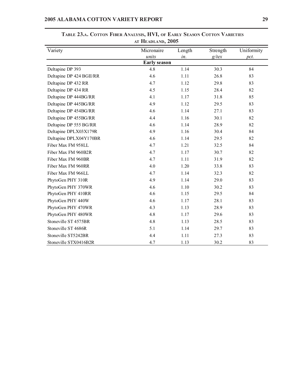|                          | AI <b>II</b> EADLAND, ZUUJ |               |                      |                    |
|--------------------------|----------------------------|---------------|----------------------|--------------------|
| Variety                  | Micronaire<br>units        | Length<br>in. | Strength<br>$g$ /tex | Uniformity<br>pct. |
|                          | <b>Early season</b>        |               |                      |                    |
| Deltapine DP 393         | 4.8                        | 1.14          | 30.3                 | 84                 |
| Deltapine DP 424 BGII/RR | 4.6                        | 1.11          | 26.8                 | 83                 |
| Deltapine DP 432 RR      | 4.7                        | 1.12          | 29.8                 | 83                 |
| Deltapine DP 434 RR      | 4.5                        | 1.15          | 28.4                 | 82                 |
| Deltapine DP 444BG/RR    | 4.1                        | 1.17          | 31.8                 | 85                 |
| Deltapine DP 445BG/RR    | 4.9                        | 1.12          | 29.5                 | 83                 |
| Deltapine DP 454BG/RR    | 4.6                        | 1.14          | 27.1                 | 83                 |
| Deltapine DP 455BG/RR    | 4.4                        | 1.16          | 30.1                 | 82                 |
| Deltapine DP 555 BG/RR   | 4.6                        | 1.14          | 28.9                 | 82                 |
| Deltapine DPLX03X179R    | 4.9                        | 1.16          | 30.4                 | 84                 |
| Deltapine DPLX04Y170BR   | 4.6                        | 1.14          | 29.5                 | 82                 |
| Fiber Max FM 958LL       | 4.7                        | 1.21          | 32.5                 | 84                 |
| Fiber Max FM 960B2R      | 4.7                        | 1.17          | 30.7                 | 82                 |
| Fiber Max FM 960BR       | 4.7                        | 1.11          | 31.9                 | 82                 |
| Fiber Max FM 960RR       | 4.0                        | 1.20          | 33.8                 | 83                 |
| Fiber Max FM 966LL       | 4.7                        | 1.14          | 32.3                 | 82                 |
| PhytoGen PHY 310R        | 4.9                        | 1.14          | 29.0                 | 83                 |
| PhytoGen PHY 370WR       | 4.6                        | 1.10          | 30.2                 | 83                 |
| PhytoGen PHY 410RR       | 4.6                        | 1.15          | 29.5                 | 84                 |
| PhytoGen PHY 440W        | 4.6                        | 1.17          | 28.1                 | 83                 |
| PhytoGen PHY 470WR       | 4.3                        | 1.13          | 28.9                 | 83                 |
| PhytoGen PHY 480WR       | 4.8                        | 1.17          | 29.6                 | 83                 |
| Stoneville ST 4575BR     | 4.8                        | 1.13          | 28.5                 | 83                 |
| Stoneville ST 4686R      | 5.1                        | 1.14          | 29.7                 | 83                 |
| Stoneville ST5242BR      | 4.4                        | 1.11          | 27.3                 | 83                 |
| Stoneville STX0416B2R    | 4.7                        | 1.13          | 30.2                 | 83                 |

**TABLE 23.A. COTTON FIBER ANALYSIS, HVI, OF EARLY SEASON COTTON VARIETIES AT HEADLAND, 2005**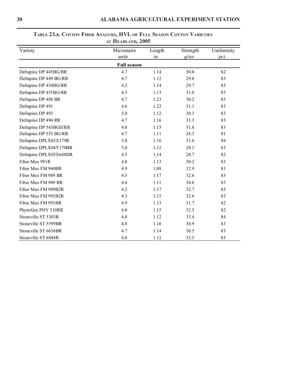| Variety                 | Micronaire         | Length | Strength | Uniformity |  |
|-------------------------|--------------------|--------|----------|------------|--|
|                         | units              | in.    |          | pct.       |  |
|                         | <b>Full season</b> |        |          |            |  |
| Deltapine DP 445BG/RR   | 4.7                | 1.14   | 30.0     | 82         |  |
| Deltapine DP 449 BG/RR  | 4.7                | 1.12   | 29.8     | 83         |  |
| Deltapine DP 454BG/RR   | 4.2                | 1.14   | 29.7     | 83         |  |
| Deltapine DP 455BG/RR   | 4.3                | 1.13   | 31.0     | 83         |  |
| Deltapine DP 488 BR     | 4.7                | 1.23   | 30.2     | 83         |  |
| Deltapine DP 491        | 4.6                | 1.22   | 31.1     | 83         |  |
| Deltapine DP 493        | 5.0                | 1.12   | 30.3     | 83         |  |
| Deltapine DP 494 RR     | 4.7                | 1.16   | 31.3     | 83         |  |
| Deltapine DP 543BGII/RR | 4.8                | 1.15   | 31.8     | 83         |  |
| Deltapine DP 555 BG/RR  | 4.7                | 1.11   | 28.3     | 81         |  |
| Deltapine DPLX03X179R   | 5.0                | 1.16   | 31.6     | 84         |  |
| Deltapine DPLX04Y170BR  | 5.0                | 1.12   | 28.1     | 83         |  |
| Deltapine DPLX05X648DR  | 4.5                | 1.14   | 28.7     | 82         |  |
| Fiber Max 991R          | 4.8                | 1.13   | 30.2     | 83         |  |
| Fiber Max FM 960BR      | 4.9                | 1.08   | 32.9     | 83         |  |
| Fiber Max FM 989 BR     | 4.5                | 1.17   | 32.6     | 83         |  |
| Fiber Max FM 989 RR     | 4.4                | 1.11   | 34.8     | 83         |  |
| Fiber Max FM 989B2R     | 4.2                | 1.17   | 32.7     | 83         |  |
| Fiber Max FM 991B2R     | 4.3                | 1.15   | 32.6     | 83         |  |
| Fiber Max FM 991BR      | 4.9                | 1.13   | 31.7     | 82         |  |
| PhytoGen PHY 510RR      | 4.8                | 1.15   | 32.5     | 82         |  |
| Stoneville ST 5303R     | 4.8                | 1.12   | 33.4     | 84         |  |
| Stoneville ST 5599BR    | 4.8                | 1.16   | 30.9     | 83         |  |
| Stoneville ST 6636BR    | 4.7                | 1.14   | 30.5     | 83         |  |
| Stoneville ST 6848R     | 4.8                | 1.12   | 33.5     | 83         |  |

# **TABLE 23.B. COTTON FIBER ANALYSIS, HVI, OF FULL SEASON COTTON VARIETIES AT HEADLAND, 2005**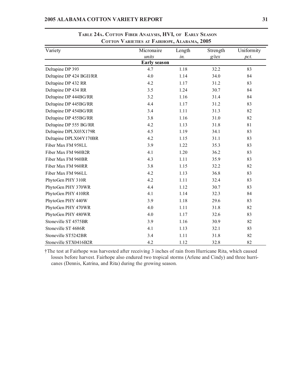| COTTON VARIETIES AT FAIRHOPE, ALABAMA, 2005 |                     |        |          |            |
|---------------------------------------------|---------------------|--------|----------|------------|
| Variety                                     | Micronaire          | Length | Strength | Uniformity |
|                                             | units               | in.    | $g$ /tex | pct.       |
|                                             | <b>Early season</b> |        |          |            |
| Deltapine DP 393                            | 4.7                 | 1.18   | 32.2     | 83         |
| Deltapine DP 424 BGII/RR                    | 4.0                 | 1.14   | 34.0     | 84         |
| Deltapine DP 432 RR                         | 4.2                 | 1.17   | 31.2     | 83         |
| Deltapine DP 434 RR                         | 3.5                 | 1.24   | 30.7     | 84         |
| Deltapine DP 444BG/RR                       | 3.2                 | 1.16   | 31.4     | 84         |
| Deltapine DP 445BG/RR                       | 4.4                 | 1.17   | 31.2     | 83         |
| Deltapine DP 454BG/RR                       | 3.4                 | 1.11   | 31.3     | 82         |
| Deltapine DP 455BG/RR                       | 3.8                 | 1.16   | 31.0     | 82         |
| Deltapine DP 555 BG/RR                      | 4.2                 | 1.13   | 31.8     | 81         |
| Deltapine DPLX03X179R                       | 4.5                 | 1.19   | 34.1     | 83         |
| Deltapine DPLX04Y170BR                      | 4.2                 | 1.15   | 31.1     | 83         |
| Fiber Max FM 958LL                          | 3.9                 | 1.22   | 35.3     | 83         |
| Fiber Max FM 960B2R                         | 4.1                 | 1.20   | 36.2     | 83         |
| Fiber Max FM 960BR                          | 4.3                 | 1.11   | 35.9     | 83         |
| Fiber Max FM 960RR                          | 3.8                 | 1.15   | 32.2     | 82         |
| Fiber Max FM 966LL                          | 4.2                 | 1.13   | 36.8     | 83         |
| PhytoGen PHY 310R                           | 4.2                 | 1.11   | 32.4     | 83         |
| PhytoGen PHY 370WR                          | 4.4                 | 1.12   | 30.7     | 83         |
| PhytoGen PHY 410RR                          | 4.1                 | 1.14   | 32.3     | 84         |
| PhytoGen PHY 440W                           | 3.9                 | 1.18   | 29.6     | 83         |
| PhytoGen PHY 470WR                          | 4.0                 | 1.11   | 31.8     | 82         |
| PhytoGen PHY 480WR                          | 4.0                 | 1.17   | 32.6     | 83         |
| Stoneville ST 4575BR                        | 3.9                 | 1.16   | 30.9     | 82         |
| Stoneville ST 4686R                         | 4.1                 | 1.13   | 32.1     | 83         |
| Stoneville ST5242BR                         | 3.4                 | 1.11   | 31.8     | 82         |
| Stoneville STX0416B2R                       | 4.2                 | 1.12   | 32.8     | 82         |

**TABLE 24A. COTTON FIBER ANALYSIS, HVI, OF EARLY SEASON**

†The test at Fairhope was harvested after receiving 3 inches of rain from Hurricane Rita, which caused losses before harvest. Fairhope also endured two tropical storms (Arlene and Cindy) and three hurricanes (Dennis, Katrina, and Rita) during the growing season.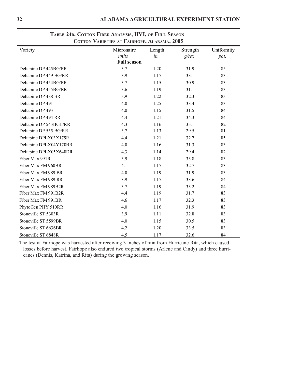| Variety                 | Micronaire         | Length | Strength | Uniformity |
|-------------------------|--------------------|--------|----------|------------|
|                         | units              | in.    | $g$ /tex | pct.       |
|                         | <b>Full season</b> |        |          |            |
| Deltapine DP 445BG/RR   | 3.7                | 1.20   | 31.9     | 85         |
| Deltapine DP 449 BG/RR  | 3.9                | 1.17   | 33.1     | 83         |
| Deltapine DP 454BG/RR   | 3.7                | 1.15   | 30.9     | 83         |
| Deltapine DP 455BG/RR   | 3.6                | 1.19   | 31.1     | 83         |
| Deltapine DP 488 BR     | 3.9                | 1.22   | 32.3     | 83         |
| Deltapine DP 491        | 4.0                | 1.25   | 33.4     | 83         |
| Deltapine DP 493        | 4.0                | 1.15   | 31.5     | 84         |
| Deltapine DP 494 RR     | 4.4                | 1.21   | 34.3     | 84         |
| Deltapine DP 543BGII/RR | 4.3                | 1.16   | 33.1     | 82         |
| Deltapine DP 555 BG/RR  | 3.7                | 1.13   | 29.5     | 81         |
| Deltapine DPLX03X179R   | 4.4                | 1.21   | 32.7     | 85         |
| Deltapine DPLX04Y170BR  | 4.0                | 1.16   | 31.3     | 83         |
| Deltapine DPLX05X648DR  | 4.3                | 1.14   | 29.4     | 82         |
| Fiber Max 991R          | 3.9                | 1.18   | 33.8     | 83         |
| Fiber Max FM 960BR      | 4.1                | 1.17   | 32.7     | 83         |
| Fiber Max FM 989 BR     | 4.0                | 1.19   | 31.9     | 83         |
| Fiber Max FM 989 RR     | 3.9                | 1.17   | 33.6     | 84         |
| Fiber Max FM 989B2R     | 3.7                | 1.19   | 33.2     | 84         |
| Fiber Max FM 991B2R     | 4.4                | 1.19   | 31.7     | 83         |
| Fiber Max FM 991BR      | 4.6                | 1.17   | 32.3     | 83         |
| PhytoGen PHY 510RR      | 4.0                | 1.16   | 31.9     | 83         |
| Stoneville ST 5303R     | 3.9                | 1.11   | 32.8     | 83         |
| Stoneville ST 5599BR    | 4.0                | 1.15   | 30.5     | 83         |
| Stoneville ST 6636BR    | 4.2                | 1.20   | 33.5     | 83         |
| Stoneville ST 6848R     | 4.5                | 1.17   | 32.6     | 84         |

### **TABLE 24B. COTTON FIBER ANALYSIS, HVI, OF FULL SEASON COTTON VARIETIES AT FAIRHOPE, ALABAMA, 2005**

†The test at Fairhope was harvested after receiving 3 inches of rain from Hurricane Rita, which caused losses before harvest. Fairhope also endured two tropical storms (Arlene and Cindy) and three hurricanes (Dennis, Katrina, and Rita) during the growing season.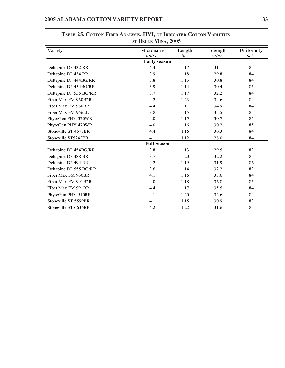| AI DELLE IVIINA, 200J  |                     |        |          |            |  |
|------------------------|---------------------|--------|----------|------------|--|
| Variety                | Micronaire          | Length | Strength | Uniformity |  |
|                        | units               | in.    | $g$ /tex | pct.       |  |
|                        | <b>Early season</b> |        |          |            |  |
| Deltapine DP 432 RR    | 4.4                 | 1.17   | 31.1     | 85         |  |
| Deltapine DP 434 RR    | 3.9                 | 1.18   | 29.8     | 84         |  |
| Deltapine DP 444BG/RR  | 3.8                 | 1.13   | 30.8     | 84         |  |
| Deltapine DP 454BG/RR  | 3.9                 | 1.14   | 30.4     | 85         |  |
| Deltapine DP 555 BG/RR | 3.7                 | 1.17   | 32.2     | 84         |  |
| Fiber Max FM 960B2R    | 4.2                 | 1.23   | 34.6     | 84         |  |
| Fiber Max FM 960BR     | 4.4                 | 1.11   | 34.9     | 84         |  |
| Fiber Max FM 966LL     | 3.8                 | 1.15   | 35.5     | 85         |  |
| PhytoGen PHY 370WR     | 4.0                 | 1.15   | 30.7     | 85         |  |
| PhytoGen PHY 470WR     | 4.0                 | 1.16   | 30.2     | 85         |  |
| Stoneville ST 4575BR   | 4.4                 | 1.16   | 30.3     | 84         |  |
| Stoneville ST5242BR    | 4.1                 | 1.12   | 28.0     | 84         |  |
|                        | <b>Full season</b>  |        |          |            |  |
| Deltapine DP 454BG/RR  | 3.8                 | 1.13   | 29.5     | 83         |  |
| Deltapine DP 488 BR    | 3.7                 | 1.20   | 32.2     | 85         |  |
| Deltapine DP 494 RR    | 4.2                 | 1.19   | 31.9     | 86         |  |
| Deltapine DP 555 BG/RR | 3.6                 | 1.14   | 32.2     | 83         |  |
| Fiber Max FM 960BR     | 4.1                 | 1.16   | 33.6     | 84         |  |
| Fiber Max FM 991B2R    | 4.0                 | 1.18   | 36.8     | 85         |  |
| Fiber Max FM 991BR     | 4.4                 | 1.17   | 35.5     | 84         |  |
| PhytoGen PHY 510RR     | 4.1                 | 1.20   | 32.6     | 84         |  |
| Stoneville ST 5599BR   | 4.1                 | 1.15   | 30.9     | 83         |  |
| Stoneville ST 6636BR   | 4.2                 | 1.22   | 31.6     | 85         |  |

**TABLE 25. COTTON FIBER ANALYSIS, HVI, OF IRRIGATED COTTON VARIETIES AT BELLE MINA, 2005**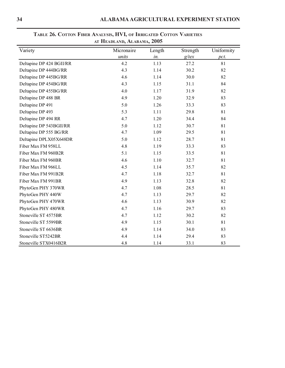| Variety                  | Micronaire<br>units | Length<br>in. | Strength<br>$g$ /tex | Uniformity<br>pct. |
|--------------------------|---------------------|---------------|----------------------|--------------------|
| Deltapine DP 424 BGII/RR | 4.2                 | 1.13          | 27.2                 | 81                 |
| Deltapine DP 444BG/RR    | 4.3                 | 1.14          | 30.2                 | 82                 |
| Deltapine DP 445BG/RR    | 4.6                 | 1.14          | 30.0                 | 82                 |
| Deltapine DP 454BG/RR    | 4.3                 | 1.15          | 31.1                 | 84                 |
| Deltapine DP 455BG/RR    | 4.0                 | 1.17          | 31.9                 | 82                 |
| Deltapine DP 488 BR      | 4.9                 | 1.20          | 32.9                 | 83                 |
| Deltapine DP 491         | 5.0                 | 1.26          | 33.3                 | 83                 |
| Deltapine DP 493         | 5.3                 | 1.11          | 29.8                 | 81                 |
| Deltapine DP 494 RR      | 4.7                 | 1.20          | 34.4                 | 84                 |
| Deltapine DP 543BGII/RR  | 5.0                 | 1.12          | 30.7                 | 81                 |
| Deltapine DP 555 BG/RR   | 4.7                 | 1.09          | 29.5                 | 81                 |
| Deltapine DPLX05X648DR   | 5.0                 | 1.12          | 28.7                 | 81                 |
| Fiber Max FM 958LL       | 4.8                 | 1.19          | 33.3                 | 83                 |
| Fiber Max FM 960B2R      | 5.1                 | 1.15          | 33.5                 | 81                 |
| Fiber Max FM 960BR       | 4.6                 | 1.10          | 32.7                 | 81                 |
| Fiber Max FM 966LL       | 4.5                 | 1.14          | 35.7                 | 82                 |
| Fiber Max FM 991B2R      | 4.7                 | 1.18          | 32.7                 | 81                 |
| Fiber Max FM 991BR       | 4.9                 | 1.13          | 32.8                 | 82                 |
| PhytoGen PHY 370WR       | 4.7                 | 1.08          | 28.5                 | 81                 |
| PhytoGen PHY 440W        | 4.7                 | 1.13          | 29.7                 | 82                 |
| PhytoGen PHY 470WR       | 4.6                 | 1.13          | 30.9                 | 82                 |
| PhytoGen PHY 480WR       | 4.7                 | 1.16          | 29.7                 | 83                 |
| Stoneville ST 4575BR     | 4.7                 | 1.12          | 30.2                 | 82                 |
| Stoneville ST 5599BR     | 4.9                 | 1.15          | 30.1                 | 81                 |
| Stoneville ST 6636BR     | 4.9                 | 1.14          | 34.0                 | 83                 |
| Stoneville ST5242BR      | 4.4                 | 1.14          | 29.4                 | 83                 |
| Stoneville STX0416B2R    | 4.8                 | 1.14          | 33.1                 | 83                 |

### **TABLE 26. COTTON FIBER ANALYSIS, HVI, OF IRRIGATED COTTON VARIETIES AT HEADLAND, ALABAMA, 2005**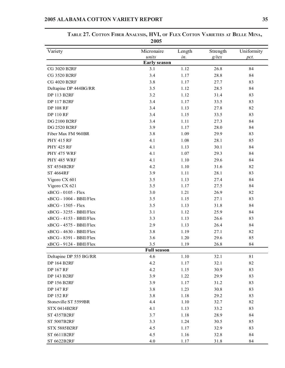| <b><i>LUUS</i></b>      |                     |        |          |            |  |
|-------------------------|---------------------|--------|----------|------------|--|
| Variety                 | Micronaire          | Length | Strength | Uniformity |  |
|                         | units               | in.    | $g$ /tex | pct.       |  |
|                         | <b>Early season</b> |        |          |            |  |
| <b>CG 3020 B2RF</b>     | 3.1                 | 1.12   | 26.8     | 84         |  |
| <b>CG 3520 B2RF</b>     | 3.4                 | 1.17   | 28.8     | 84         |  |
| <b>CG 4020 B2RF</b>     | 3.8                 | 1.17   | 27.7     | 83         |  |
| Deltapine DP 444BG/RR   | 3.5                 | 1.12   | 28.5     | 84         |  |
| <b>DP 113 B2RF</b>      | 3.2                 | 1.12   | 31.4     | 83         |  |
| <b>DP 117 B2RF</b>      | 3.4                 | 1.17   | 33.5     | 83         |  |
| <b>DP 108 RF</b>        | 3.4                 | 1.13   | 27.8     | 82         |  |
| <b>DP 110 RF</b>        | 3.4                 | 1.15   | 33.5     | 83         |  |
| <b>DG 2100 B2RF</b>     | 3.4                 | 1.11   | 27.3     | 84         |  |
| <b>DG 2520 B2RF</b>     | 3.9                 | 1.17   | 28.0     | 84         |  |
| Fiber Max FM 960BR      | 3.8                 | 1.09   | 29.9     | 83         |  |
| <b>PHY 415 RF</b>       | 4.1                 | 1.08   | 28.1     | 85         |  |
| <b>PHY 425 RF</b>       | 4.1                 | 1.13   | 30.1     | 84         |  |
| PHY 475 WRF             | 4.1                 | 1.07   | 29.3     | 84         |  |
| PHY 485 WRF             | 4.1                 | 1.10   | 29.6     | 84         |  |
| <b>ST 4554B2RF</b>      | 4.2                 | 1.10   | 31.6     | 82         |  |
| <b>ST 4664RF</b>        | 3.9                 | 1.11   | 28.1     | 83         |  |
| Vigoro CX 601           | 3.5                 | 1.13   | 27.4     | 84         |  |
| Vigoro CX 621           | 3.5                 | 1.17   | 27.5     | 84         |  |
| xBCG - 0105 - Flex      | 3.0                 | 1.21   | 26.9     | 82         |  |
| xBCG - 1004 - BBII/Flex | 3.5                 | 1.15   | 27.1     | 83         |  |
| xBCG - 1505 - Flex      | 3.5                 | 1.13   | 31.8     | 84         |  |
| xBCG - 3255 - BBII/Flex | 3.1                 | 1.12   | 25.9     | 84         |  |
| xBCG - 4153 - BBII/Flex | 3.3                 | 1.13   | 26.6     | 83         |  |
| xBCG - 4575 - BBII/Flex | 2.9                 | 1.13   | 26.4     | 84         |  |
| xBCG - 4630 - BBII/Flex | 3.8                 | 1.19   | 27.1     | 82         |  |
| xBCG - 8391 - BBII/Flex | 3.6                 | 1.20   | 29.6     | 85         |  |
| xBCG - 9124 - BBII/Flex | 3.5                 | 1.19   | 26.8     | 84         |  |
|                         | <b>Full season</b>  |        |          |            |  |
| Deltapine DP 555 BG/RR  | 4.6                 | 1.10   | 32.1     | 81         |  |
| <b>DP 164 B2RF</b>      | 4.2                 | 1.17   | 32.1     | 82         |  |
| <b>DP 167 RF</b>        | 4.2                 | 1.15   | 30.9     | 83         |  |
| <b>DP 143 B2RF</b>      | 3.9                 | 1.22   | 29.9     | 83         |  |
| <b>DP 156 B2RF</b>      | 3.9                 | 1.17   | 31.2     | 83         |  |
| <b>DP 147 RF</b>        | 3.8                 | 1.23   | 30.8     | 83         |  |
| <b>DP 152 RF</b>        | 3.8                 | 1.18   | 29.2     | 83         |  |
| Stoneville ST 5599BR    | 4.4                 | 1.10   | 32.7     | 82         |  |
| <b>STX 0414B2RF</b>     | 4.1                 | 1.13   | 33.2     | 83         |  |
| ST 4357B2RF             | 3.7                 | 1.18   | 28.9     | 84         |  |
| ST 5007B2RF             | 3.3                 | 1.24   | 30.5     | 85         |  |
| STX 5885B2RF            | 4.5                 | 1.17   | 32.9     | 83         |  |
| ST 6611B2RF             | 4.5                 | 1.16   | 32.8     | 84         |  |
| ST 6622B2RF             | 4.0                 | 1.17   | 31.8     | 84         |  |

**TABLE 27. COTTON FIBER ANALYSIS, HVI, OF FLEX COTTON VARIETIES AT BELLE MINA, 2005**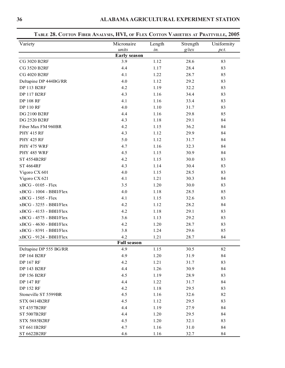| Variety                 | Micronaire          | Length | Strength | Uniformity |  |
|-------------------------|---------------------|--------|----------|------------|--|
|                         | units               | in.    | $g$ /tex | pct.       |  |
|                         | <b>Early season</b> |        |          |            |  |
| CG 3020 B2RF            | 3.9                 | 1.12   | 28.6     | 83         |  |
| <b>CG 3520 B2RF</b>     | 4.4                 | 1.17   | 28.4     | 83         |  |
| CG 4020 B2RF            | 4.1                 | 1.22   | 28.7     | 85         |  |
| Deltapine DP 444BG/RR   | 4.0                 | 1.12   | 29.2     | 83         |  |
| <b>DP 113 B2RF</b>      | 4.2                 | 1.19   | 32.2     | 83         |  |
| <b>DP 117 B2RF</b>      | 4.3                 | 1.16   | 34.4     | 83         |  |
| <b>DP 108 RF</b>        | 4.1                 | 1.16   | 33.4     | 83         |  |
| <b>DP 110 RF</b>        | 4.0                 | 1.10   | 31.7     | 83         |  |
| DG 2100 B2RF            | 4.4                 | 1.16   | 29.8     | 85         |  |
| <b>DG 2520 B2RF</b>     | 4.3                 | 1.18   | 29.1     | 84         |  |
| Fiber Max FM 960BR      | 4.2                 | 1.15   | 36.2     | 84         |  |
| <b>PHY 415 RF</b>       | 4.3                 | 1.12   | 29.9     | 84         |  |
| <b>PHY 425 RF</b>       | 5.0                 | 1.12   | 31.7     | 84         |  |
| PHY 475 WRF             | 4.7                 | 1.16   | 32.3     | 84         |  |
| PHY 485 WRF             | 4.5                 | 1.15   | 30.9     | 84         |  |
| <b>ST 4554B2RF</b>      | 4.2                 | 1.15   | 30.0     | 83         |  |
| <b>ST 4664RF</b>        | 4.3                 | 1.14   | 30.4     | 83         |  |
| Vigoro CX 601           | 4.0                 | 1.15   | 28.5     | 83         |  |
| Vigoro CX 621           | 4.1                 | 1.21   | 30.3     | 84         |  |
| xBCG - 0105 - Flex      | 3.5                 | 1.20   | 30.0     | 83         |  |
| xBCG - 1004 - BBII/Flex | 4.0                 | 1.18   | 28.5     | 85         |  |
| xBCG - 1505 - Flex      | 4.1                 | 1.15   | 32.6     | 83         |  |
| xBCG - 3255 - BBII/Flex | 4.2                 | 1.12   | 28.2     | 84         |  |
| xBCG - 4153 - BBII/Flex | 4.2                 | 1.18   | 29.1     | 83         |  |
| xBCG - 4575 - BBII/Flex | 3.6                 | 1.13   | 29.2     | 83         |  |
| xBCG - 4630 - BBII/Flex | 4.2                 | 1.20   | 28.7     | 83         |  |
| xBCG - 8391 - BBII/Flex | 3.8                 | 1.24   | 29.6     | 85         |  |
| xBCG - 9124 - BBII/Flex | 4.2                 | 1.21   | 28.7     | 84         |  |
|                         | <b>Full season</b>  |        |          |            |  |
| Deltapine DP 555 BG/RR  | 4.9                 | 1.15   | 30.5     | 82         |  |
| <b>DP 164 B2RF</b>      | 4.9                 | 1.20   | 31.9     | 84         |  |
| <b>DP 167 RF</b>        | 4.2                 | 1.21   | 31.7     | 83         |  |
| <b>DP 143 B2RF</b>      | 4.4                 | 1.26   | 30.9     | 84         |  |
| <b>DP 156 B2RF</b>      | 4.5                 | 1.19   | 28.9     | 83         |  |
| <b>DP 147 RF</b>        | 4.4                 | 1.22   | 31.7     | 84         |  |
| <b>DP 152 RF</b>        | 4.2                 | 1.18   | 29.5     | 83         |  |
| Stoneville ST 5599BR    | 4.5                 | 1.16   | 32.6     | 82         |  |
| <b>STX 0414B2RF</b>     | 4.5                 | 1.12   | 29.5     | 83         |  |
| ST 4357B2RF             | 4.4                 | 1.19   | 27.9     | 84         |  |
| ST 5007B2RF             | 4.4                 | 1.20   | 29.5     | 84         |  |
| STX 5885B2RF            | 4.5                 | 1.20   | 32.1     | 83         |  |
| ST 6611B2RF             | 4.7                 | 1.16   | 31.0     | 84         |  |
| ST 6622B2RF             | 4.6                 | 1.16   | 32.7     | 84         |  |

# **TABLE 28. COTTON FIBER ANALYSIS, HVI, OF FLEX COTTON VARIETIES AT PRATTVILLE, 2005**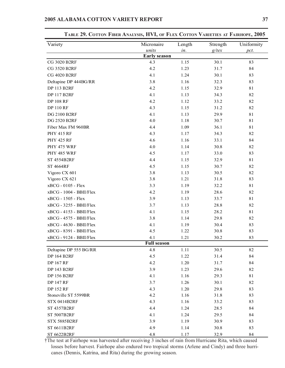| Variety                   | Micronaire          | Length | Strength | Uniformity |
|---------------------------|---------------------|--------|----------|------------|
|                           | units               | in.    | $g$ /tex | pct.       |
|                           | <b>Early season</b> |        |          |            |
| <b>CG 3020 B2RF</b>       | 4.3                 | 1.15   | 30.1     | 83         |
| <b>CG 3520 B2RF</b>       | 4.2                 | 1.23   | 31.7     | 84         |
| <b>CG 4020 B2RF</b>       | 4.1                 | 1.24   | 30.1     | 83         |
| Deltapine DP 444BG/RR     | 3.8                 | 1.16   | 32.3     | 83         |
| <b>DP 113 B2RF</b>        | 4.2                 | 1.15   | 32.9     | 81         |
| <b>DP 117 B2RF</b>        | 4.1                 | 1.13   | 34.3     | 82         |
| <b>DP 108 RF</b>          | 4.2                 | 1.12   | 33.2     | 82         |
| <b>DP 110 RF</b>          | 4.3                 | 1.15   | 31.2     | 82         |
| DG 2100 B2RF              | 4.1                 | 1.13   | 29.9     | 81         |
| DG 2520 B2RF              | 4.0                 | 1.18   | 30.7     | 81         |
| Fiber Max FM 960BR        | 4.4                 | 1.09   | 36.1     | 81         |
| <b>PHY 415 RF</b>         | 4.3                 | 1.17   | 34.3     | 82         |
| <b>PHY 425 RF</b>         | 4.6                 | 1.16   | 33.1     | 84         |
| PHY 475 WRF               | 4.0                 | 1.14   | 30.8     | 82         |
| PHY 485 WRF               | 4.5                 | 1.17   | 33.0     | 83         |
| <b>ST 4554B2RF</b>        | 4.4                 | 1.15   | 32.9     | 81         |
| <b>ST 4664RF</b>          | 4.5                 | 1.15   | 30.7     | 82         |
| Vigoro CX 601             | 3.8                 | 1.13   | 30.5     | 82         |
| Vigoro CX 621             | 3.8                 | 1.21   | 31.8     | 83         |
| xBCG - 0105 - Flex        | 3.3                 | 1.19   | 32.2     | 81         |
| xBCG - 1004 - BBII/Flex   | 4.2                 | 1.19   | 28.6     | 82         |
| xBCG - 1505 - Flex        | 3.9                 | 1.13   | 33.7     | 81         |
| xBCG - 3255 - BBII/Flex   | 3.7                 | 1.13   | 28.8     | 82         |
| $xBCG - 4153 - BBII/Flex$ | 4.1                 | 1.15   | 28.2     | 81         |
| xBCG - 4575 - BBII/Flex   | 3.8                 | 1.14   | 29.8     | 82         |
| xBCG - 4630 - BBII/Flex   | 4.1                 | 1.19   | 30.4     | 83         |
| xBCG - 8391 - BBII/Flex   | 4.5                 | 1.22   | 30.8     | 83         |
| xBCG - 9124 - BBII/Flex   | 4.1                 | 1.21   | 30.2     | 83         |
|                           | <b>Full season</b>  |        |          |            |
| Deltapine DP 555 BG/RR    | 4.8                 | 1.11   | 30.5     | 82         |
| <b>DP 164 B2RF</b>        | 4.5                 | 1.22   | 31.4     | 84         |
| <b>DP 167 RF</b>          | 4.2                 | 1.20   | 31.7     | 84         |
| <b>DP 143 B2RF</b>        | 3.9                 | 1.23   | 29.6     | 82         |
| <b>DP 156 B2RF</b>        | 4.1                 | 1.16   | 29.3     | 81         |
| <b>DP 147 RF</b>          | 3.7                 | 1.26   | 30.1     | 82         |
| <b>DP 152 RF</b>          | 4.3                 | 1.20   | 29.8     | 83         |
| Stoneville ST 5599BR      | 4.2                 | 1.16   | 31.8     | 83         |
| <b>STX 0414B2RF</b>       | 4.3                 | 1.16   | 33.2     | 83         |
| <b>ST 4357B2RF</b>        | 4.4                 | 1.24   | 28.5     | 84         |
| ST 5007B2RF               | 4.1                 | 1.24   | 29.5     | 84         |
| STX 5885B2RF              | 3.9                 | 1.19   | 30.9     | 83         |
| ST 6611B2RF               | 4.9                 | 1.14   | 30.8     | 83         |
| ST 6622B2RF               | 4.8                 | 1.17   | 32.9     | 84         |

**TABLE 29. COTTON FIBER ANALYSIS, HVI, OF FLEX COTTON VARIETIES AT FAIRHOPE, 2005**

†The test at Fairhope was harvested after receiving 3 inches of rain from Hurricane Rita, which caused losses before harvest. Fairhope also endured two tropical storms (Arlene and Cindy) and three hurricanes (Dennis, Katrina, and Rita) during the growing season.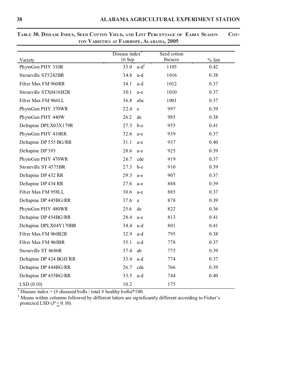| Variety                  | Disease index $\bar{ }$<br>16 Sep |                    | Seed cotton<br>lbs/acre | $%$ lint |
|--------------------------|-----------------------------------|--------------------|-------------------------|----------|
| PhytoGen PHY 310R        | 33.0                              | $a-d^{\ddagger}$   | 1105                    | 0.42     |
| Stoneville ST5242BR      | 34.8                              | a-d                | 1016                    | 0.38     |
| Fiber Max FM 960RR       | 34.1                              | $a-d$              | 1012                    | 0.37     |
| Stoneville STX0416B2R    | 30.1                              | a-e                | 1010                    | 0.37     |
| Fiber Max FM 966LL       | 36.8                              | abc                | 1001                    | 0.37     |
| PhytoGen PHY 370WR       | 22.4                              | $\mathbf{e}% _{w}$ | 997                     | 0.39     |
| PhytoGen PHY 440W        | 26.2                              | de                 | 985                     | 0.38     |
| Deltapine DPLX03X179R    | 27.3                              | $b-e$              | 955                     | 0.41     |
| PhytoGen PHY 410RR       | 32.6                              | a-e                | 939                     | 0.37     |
| Deltapine DP 555 BG/RR   | 31.1                              | a-e                | 937                     | 0.40     |
| Deltapine DP 393         | 28.6                              | a-e                | 925                     | 0.39     |
| PhytoGen PHY 470WR       | 26.7                              | cde                | 919                     | 0.37     |
| Stoneville ST 4575BR     | 27.3                              | $b-e$              | 910                     | 0.39     |
| Deltapine DP 432 RR      | 29.3                              | a-e                | 907                     | 0.37     |
| Deltapine DP 434 RR      | 27.6                              | a-e                | 888                     | 0.39     |
| Fiber Max FM 958LL       | 30.6                              | a-e                | 885                     | 0.37     |
| Deltapine DP 445BG/RR    | 37.6                              | a                  | 878                     | 0.39     |
| PhytoGen PHY 480WR       | 25.6                              | de                 | 822                     | 0.36     |
| Deltapine DP 454BG/RR    | 28.4                              | a-e                | 813                     | 0.41     |
| Deltapine DPLX04Y170BR   | 34.4                              | a-d                | 801                     | 0.41     |
| Fiber Max FM 960B2R      | 32.9                              | a-d                | 795                     | 0.38     |
| Fiber Max FM 960BR       | 35.1                              | a-d                | 778                     | 0.37     |
| Stoneville ST 4686R      | 37.4                              | ab                 | 775                     | 0.39     |
| Deltapine DP 424 BGII/RR | 33.4                              | a-d                | 774                     | 0.37     |
| Deltapine DP 444BG/RR    | 26.7                              | cde                | 766                     | 0.39     |
| Deltapine DP 455BG/RR    | 33.5                              | a-d                | 744                     | 0.40     |
| LSD(0.10)                | 10.2                              |                    | 175                     |          |

**TABLE 30. DISEASE INDEX, SEED COTTON YIELD, AND LINT PERCENTAGE OF EARLY SEASON COT-TON VARIETIES AT FAIRHOPE, ALABAMA, 2005**

<sup>†</sup> Disease index = (# diseased bolls / total # healthy bolls)\*100.

‡ Means within columns followed by different letters are significantly different according to Fisher's protected LSD  $(P \le 0.10)$ .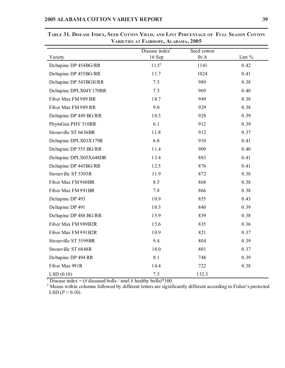|                         | Disease index <sup>†</sup> | Seed cotton |          |
|-------------------------|----------------------------|-------------|----------|
| Variety                 | 16 Sep                     | lb/A        | Lint $%$ |
| Deltapine DP 454BG/RR   | $11.5^{\ddagger}$          | 1141        | 0.42     |
| Deltapine DP 455BG/RR   | 11.7                       | 1024        | 0.41     |
| Deltapine DP 543BGII/RR | 7.5                        | 989         | 0.38     |
| Deltapine DPLX04Y170BR  | 7.3                        | 969         | 0.40     |
| Fiber Max FM 989 BR     | 18.7                       | 949         | 0.38     |
| Fiber Max FM 989 RR     | 9.0                        | 929         | 0.38     |
| Deltapine DP 449 BG/RR  | 10.3                       | 928         | 0.39     |
| PhytoGen PHY 510RR      | 6.1                        | 912         | 0.39     |
| Stoneville ST 6636BR    | 11.8                       | 912         | 0.37     |
| Deltapine DPLX03X179R   | 6.8                        | 910         | 0.41     |
| Deltapine DP 555 BG/RR  | 11.4                       | 909         | 0.40     |
| Deltapine DPLX05X648DR  | 13.4                       | 883         | 0.41     |
| Deltapine DP 445BG/RR   | 12.5                       | 876         | 0.41     |
| Stoneville ST 5303R     | 11.9                       | 872         | 0.38     |
| Fiber Max FM 960BR      | 8.5                        | 868         | 0.38     |
| Fiber Max FM 991BR      | 7.8                        | 866         | 0.38     |
| Deltapine DP 493        | 10.9                       | 855         | 0.43     |
| Deltapine DP 491        | 10.3                       | 840         | 0.39     |
| Deltapine DP 488 BG/RR  | 15.9                       | 839         | 0.38     |
| Fiber Max FM 989B2R     | 15.6                       | 835         | 0.36     |
| Fiber Max FM 991B2R     | 10.9                       | 821         | 0.37     |
| Stoneville ST 5599BR    | 9.4                        | 804         | 0.39     |
| Stoneville ST 6848R     | 18.0                       | 801         | 0.37     |
| Deltapine DP 494 RR     | 8.1                        | 748         | 0.39     |
| Fiber Max 991R          | 14.4                       | 722         | 0.38     |
| LSD(0.10)               | 7.5                        | 132.3       |          |

**TABLE 31. DISEASE INDEX, SEED COTTON YIELD, AND LINT PERCENTAGE OF FULL SEASON COTTON VARIETIES AT FAIRHOPE, ALABAMA, 2005**

<sup>†</sup> Disease index = (# diseased bolls / total # healthy bolls)\*100.

<sup>‡</sup> Means within columns followed by different letters are significantly different according to Fisher's protected LSD ( $P \le 0.10$ ).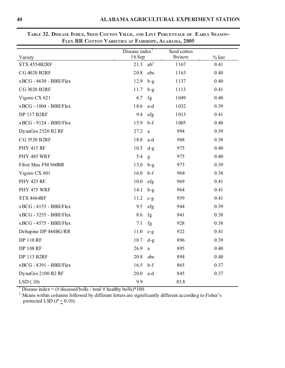| Variety                   | Disease index <sup>†</sup><br>16 Sep |                 | Seed cotton<br>lbs/acre | $%$ lint |
|---------------------------|--------------------------------------|-----------------|-------------------------|----------|
| STX 4554B2RF              | 21.3                                 | $ab^{\ddagger}$ | 1167                    | 0.41     |
| CG 4020 B2RF              | 20.8                                 | abc             | 1163                    | 0.40     |
| $xBCG - 4630 - BBII/Flex$ | 12.9                                 | $b-g$           | 1137                    | 0.40     |
| <b>CG 3020 B2RF</b>       | 11.7                                 | $b-g$           | 1113                    | 0.41     |
| Vigoro CX 621             | 6.7                                  | fg              | 1049                    | 0.40     |
| xBCG - 1004 - BBII/Flex   | 18.6                                 | a-d             | 1032                    | 0.39     |
| <b>DP 117 B2RF</b>        | 9.4                                  | efg             | 1013                    | 0.41     |
| xBCG - 9124 - BBII/Flex   | 15.9                                 | $b-f$           | 1005                    | 0.40     |
| DynaGro 2520 B2 RF        | 27.2                                 | a               | 994                     | 0.39     |
| CG 3520 B2RF              | 18.8                                 | a-d             | 988                     | 0.38     |
| <b>PHY 415 RF</b>         | 10.5                                 | $d-g$           | 975                     | 0.40     |
| PHY 485 WRF               | 5.4                                  | g               | 975                     | 0.40     |
| Fiber Max FM 960BR        | 13.0                                 | $b-g$           | 973                     | 0.39     |
| Vigoro CX 601             | 16.0                                 | $b-f$           | 968                     | 0.38     |
| <b>PHY 425 RF</b>         | 10.0                                 | efg             | 969                     | 0.41     |
| PHY 475 WRF               | 14.1                                 | $b-g$           | 964                     | 0.41     |
| <b>STX 4664RF</b>         | 11.2                                 | $c-g$           | 959                     | 0.41     |
| $xBCG - 4153 - BBII/Flex$ | 9.5                                  | efg             | 944                     | 0.39     |
| xBCG - 3255 - BBII/Flex   | 8.6                                  | fg              | 941                     | 0.38     |
| $xBCG - 4575 - BBII/Flex$ | 7.1                                  | fg              | 928                     | 0.38     |
| Deltapine DP 444BG/RR     | 11.0                                 | $c-g$           | 922                     | 0.41     |
| <b>DP 110 RF</b>          | 10.7                                 | $d-g$           | 896                     | 0.39     |
| <b>DP 108 RF</b>          | 26.9                                 | a               | 895                     | 0.40     |
| <b>DP 113 B2RF</b>        | 20.8                                 | abc             | 894                     | 0.40     |
| xBCG - 8391 - BBII/Flex   | 16.5                                 | $b-f$           | 865                     | 0.37     |
| DynaGro 2100 B2 RF        | 20.0                                 | a-d             | 845                     | 0.37     |
| LSD(.10)                  | 9.9                                  |                 | 83.8                    |          |

**TABLE 32. DISEASE INDEX, SEED COTTON YIELD, AND LINT PERCENTAGE OF EARLY SEASON-FLEX RR COTTON VARIETIES AT FAIRHOPE, ALABAMA, 2005**

<sup>†</sup> Disease index = (# diseased bolls / total # healthy bolls)\*100.

‡ Means within columns followed by different letters are significantly different according to Fisher's protected LSD ( $P \leq 0.10$ ).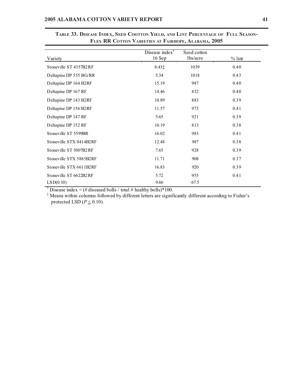| Variety                 | Disease index <sup>†</sup><br>$16$ Sep | Seed cotton<br>lbs/acre | $%$ lint |
|-------------------------|----------------------------------------|-------------------------|----------|
|                         |                                        |                         |          |
| Stoneville ST 4357B2RF  | 8.43‡                                  | 1039                    | 0.40     |
| Deltapine DP 555 BG/RR  | 5.34                                   | 1018                    | 0.43     |
| Deltapine DP 164 B2RF   | 15.19                                  | 987                     | 0.40     |
| Deltapine DP 167 RF     | 14.46                                  | 832                     | 0.40     |
| Deltapine DP 143 B2RF   | 10.89                                  | 883                     | 0.39     |
| Deltapine DP 156 B2RF   | 11.57                                  | 973                     | 0.41     |
| Deltapine DP 147 RF     | 5.65                                   | 921                     | 0.39     |
| Deltapine DP 152 RF     | 10.19                                  | 813                     | 0.38     |
| Stoneville ST 5599BR    | 16.02                                  | 983                     | 0.41     |
| Stoneville STX 0414B2RF | 12.48                                  | 987                     | 0.38     |
| Stoneville ST 5007B2RF  | 7.65                                   | 928                     | 0.39     |
| Stoneville STX 5885B2RF | 11.71                                  | 908                     | 0.37     |
| Stoneville STX 6611B2RF | 16.83                                  | 920                     | 0.39     |
| Stoneville ST 6622B2RF  | 5.72                                   | 955                     | 0.41     |
| LSD(0.10)               | 9.66                                   | 67.5                    |          |

**TABLE 33. DISEASE INDEX, SEED COOTTON YIELD, AND LINT PERCENTAGE OF FULL SEASON-FLEX RR COTTON VARIETIES AT FAIRHOPE, ALABAMA, 2005**

<sup>†</sup> Disease index = (# diseased bolls / total # healthy bolls)\*100.

‡ Means within columns followed by different letters are significantly different according to Fisher's protected LSD ( $P \leq 0.10$ ).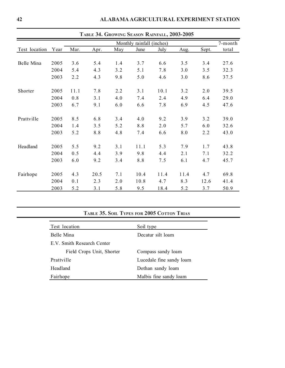|               |      |      |      |     |                           | TABLE 34. GROWING SEASON RAINFALL, 2003-2005 |      |       |         |
|---------------|------|------|------|-----|---------------------------|----------------------------------------------|------|-------|---------|
|               |      |      |      |     | Monthly rainfall (inches) |                                              |      |       | 7-month |
| Test location | Year | Mar. | Apr. | May | June                      | July                                         | Aug. | Sept. | total   |
|               |      |      |      |     |                           |                                              |      |       |         |
| Belle Mina    | 2005 | 3.6  | 5.4  | 1.4 | 3.7                       | 6.6                                          | 3.5  | 3.4   | 27.6    |
|               | 2004 | 5.4  | 4.3  | 3.2 | 5.1                       | 7.8                                          | 3.0  | 3.5   | 32.3    |
|               | 2003 | 2.2  | 4.3  | 9.8 | 5.0                       | 4.6                                          | 3.0  | 8.6   | 37.5    |
|               |      |      |      |     |                           |                                              |      |       |         |
| Shorter       | 2005 | 11.1 | 7.8  | 2.2 | 3.1                       | 10.1                                         | 3.2  | 2.0   | 39.5    |
|               | 2004 | 0.8  | 3.1  | 4.0 | 7.4                       | 2.4                                          | 4.9  | 6.4   | 29.0    |
|               | 2003 | 6.7  | 9.1  | 6.0 | 6.6                       | 7.8                                          | 6.9  | 4.5   | 47.6    |
| Prattville    | 2005 | 8.5  | 6.8  | 3.4 | 4.0                       | 9.2                                          | 3.9  | 3.2   | 39.0    |
|               | 2004 | 1.4  | 3.5  | 5.2 | 8.8                       | 2.0                                          | 5.7  | 6.0   | 32.6    |
|               | 2003 | 5.2  | 8.8  | 4.8 | 7.4                       | 6.6                                          | 8.0  | 2.2   | 43.0    |
|               |      |      |      |     |                           |                                              |      |       |         |
| Headland      | 2005 | 5.5  | 9.2  | 3.1 | 11.1                      | 5.3                                          | 7.9  | 1.7   | 43.8    |
|               | 2004 | 0.5  | 4.4  | 3.9 | 9.8                       | 4.4                                          | 2.1  | 7.1   | 32.2    |
|               | 2003 | 6.0  | 9.2  | 3.4 | 8.8                       | 7.5                                          | 6.1  | 4.7   | 45.7    |
| Fairhope      | 2005 | 4.3  | 20.5 | 7.1 | 10.4                      | 11.4                                         | 11.4 | 4.7   | 69.8    |
|               | 2004 | 0.1  | 2.3  | 2.0 | 10.8                      | 4.7                                          | 8.3  | 12.6  | 41.4    |
|               | 2003 | 5.2  | 3.1  | 5.8 | 9.5                       | 18.4                                         | 5.2  | 3.7   | 50.9    |

# **TABLE 35. SOIL TYPES FOR 2005 COTTON TRIAS**

| Test location              | Soil type                |
|----------------------------|--------------------------|
| Belle Mina                 | Decatur silt loam        |
| E.V. Smith Research Center |                          |
| Field Crops Unit, Shorter  | Compass sandy loam       |
| Prattville                 | Lucedale fine sandy loam |
| Headland                   | Dothan sandy loam        |
| Fairhope                   | Malbis fine sandy loam   |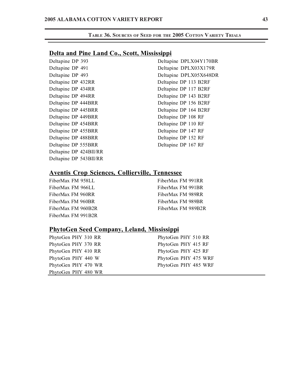### **Delta and Pine Land Co., Scott, Mississippi**

| Deltapine DP 393       | Delta |
|------------------------|-------|
| Deltapine DP 491       | Delta |
| Deltapine DP 493       | Delta |
| Deltapine DP 432RR     | Delta |
| Deltapine DP 434RR     | Delta |
| Deltapine DP 494RR     | Delta |
| Deltapine DP 444BRR    | Delta |
| Deltapine DP 445BRR    | Delta |
| Deltapine DP 449BRR    | Delta |
| Deltapine DP 454BRR    | Delta |
| Deltapine DP 455BRR    | Delta |
| Deltapine DP 488BRR    | Delta |
| Deltapine DP 555BRR    | Delta |
| Deltapine DP 424BII/RR |       |
| Deltapine DP 543BII/RR |       |

apine DPLX04Y170BR apine DPLX03X179R apine DPLX05X648DR apine DP 113 B2RF apine DP 117 B2RF apine DP 143 B2RF apine DP 156 B2RF apine DP 164 B2RF apine DP 108 RF apine DP 110 RF apine DP 147 RF apine DP 152 RF apine DP 167 RF

# **Aventis Crop Sciences, Collierville, Tennessee**

| FiberMax FM 958LL  |
|--------------------|
| FiberMax FM 966LL  |
| FiberMax FM 960RR  |
| FiberMax FM 960BR  |
| FiberMax FM 960B2R |
| FiberMax FM 991B2R |

FiberMax FM 991RR FiberMax FM 991BR FiberMax FM 989RR FiberMax FM 989BR FiberMax FM 989B2R

### **PhytoGen Seed Company, Leland, Mississippi**

PhytoGen PHY 370 RR PhytoGen PHY 415 RF PhytoGen PHY 410 RR PhytoGen PHY 425 RF PhytoGen PHY 480 WR

PhytoGen PHY 310 RR PhytoGen PHY 510 RR PhytoGen PHY 440 W PhytoGen PHY 475 WRF PhytoGen PHY 470 WR PhytoGen PHY 485 WRF